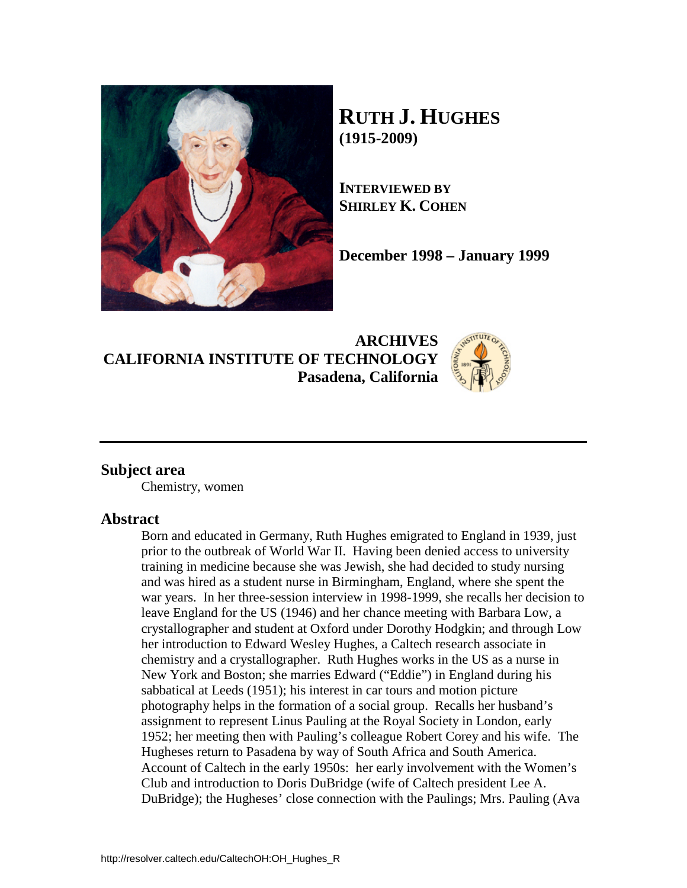

# **RUTH J. HUGHES (1915-2009)**

**INTERVIEWED BY SHIRLEY K. COHEN**

**December 1998 – January 1999**

**ARCHIVES CALIFORNIA INSTITUTE OF TECHNOLOGY Pasadena, California**



## **Subject area**

Chemistry, women

### **Abstract**

Born and educated in Germany, Ruth Hughes emigrated to England in 1939, just prior to the outbreak of World War II. Having been denied access to university training in medicine because she was Jewish, she had decided to study nursing and was hired as a student nurse in Birmingham, England, where she spent the war years. In her three-session interview in 1998-1999, she recalls her decision to leave England for the US (1946) and her chance meeting with Barbara Low, a crystallographer and student at Oxford under Dorothy Hodgkin; and through Low her introduction to Edward Wesley Hughes, a Caltech research associate in chemistry and a crystallographer. Ruth Hughes works in the US as a nurse in New York and Boston; she marries Edward ("Eddie") in England during his sabbatical at Leeds (1951); his interest in car tours and motion picture photography helps in the formation of a social group. Recalls her husband's assignment to represent Linus Pauling at the Royal Society in London, early 1952; her meeting then with Pauling's colleague Robert Corey and his wife. The Hugheses return to Pasadena by way of South Africa and South America. Account of Caltech in the early 1950s: her early involvement with the Women's Club and introduction to Doris DuBridge (wife of Caltech president Lee A. DuBridge); the Hugheses' close connection with the Paulings; Mrs. Pauling (Ava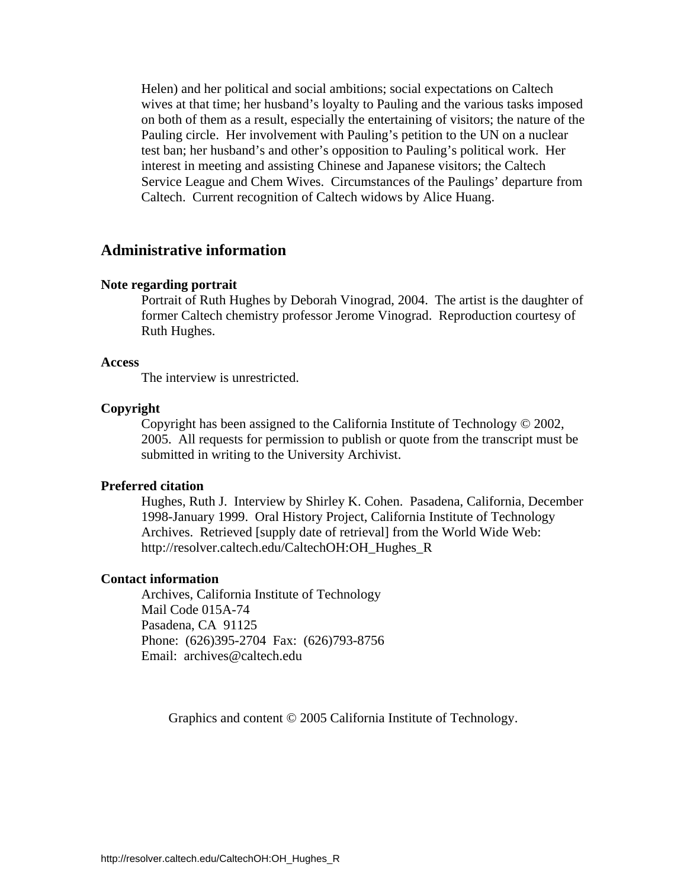Helen) and her political and social ambitions; social expectations on Caltech wives at that time; her husband's loyalty to Pauling and the various tasks imposed on both of them as a result, especially the entertaining of visitors; the nature of the Pauling circle. Her involvement with Pauling's petition to the UN on a nuclear test ban; her husband's and other's opposition to Pauling's political work. Her interest in meeting and assisting Chinese and Japanese visitors; the Caltech Service League and Chem Wives. Circumstances of the Paulings' departure from Caltech. Current recognition of Caltech widows by Alice Huang.

### **Administrative information**

#### **Note regarding portrait**

Portrait of Ruth Hughes by Deborah Vinograd, 2004. The artist is the daughter of former Caltech chemistry professor Jerome Vinograd. Reproduction courtesy of Ruth Hughes.

#### **Access**

The interview is unrestricted.

#### **Copyright**

 Copyright has been assigned to the California Institute of Technology © 2002, 2005. All requests for permission to publish or quote from the transcript must be submitted in writing to the University Archivist.

#### **Preferred citation**

 Hughes, Ruth J. Interview by Shirley K. Cohen. Pasadena, California, December 1998-January 1999. Oral History Project, California Institute of Technology Archives. Retrieved [supply date of retrieval] from the World Wide Web: http://resolver.caltech.edu/CaltechOH:OH\_Hughes\_R

#### **Contact information**

 Archives, California Institute of Technology Mail Code 015A-74 Pasadena, CA 91125 Phone: (626)395-2704 Fax: (626)793-8756 Email: archives@caltech.edu

Graphics and content © 2005 California Institute of Technology.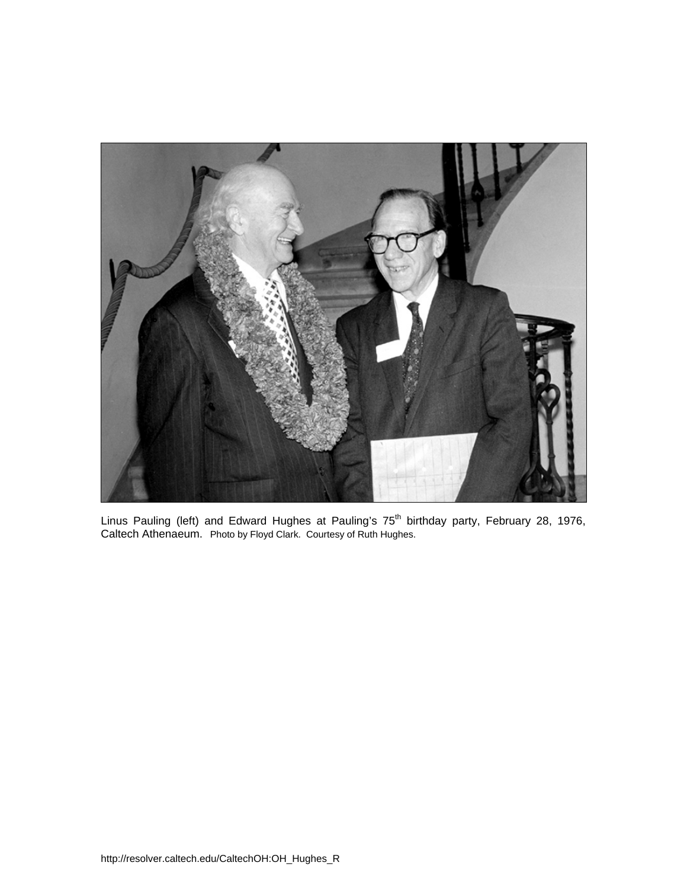

Linus Pauling (left) and Edward Hughes at Pauling's 75<sup>th</sup> birthday party, February 28, 1976, Caltech Athenaeum. Photo by Floyd Clark. Courtesy of Ruth Hughes.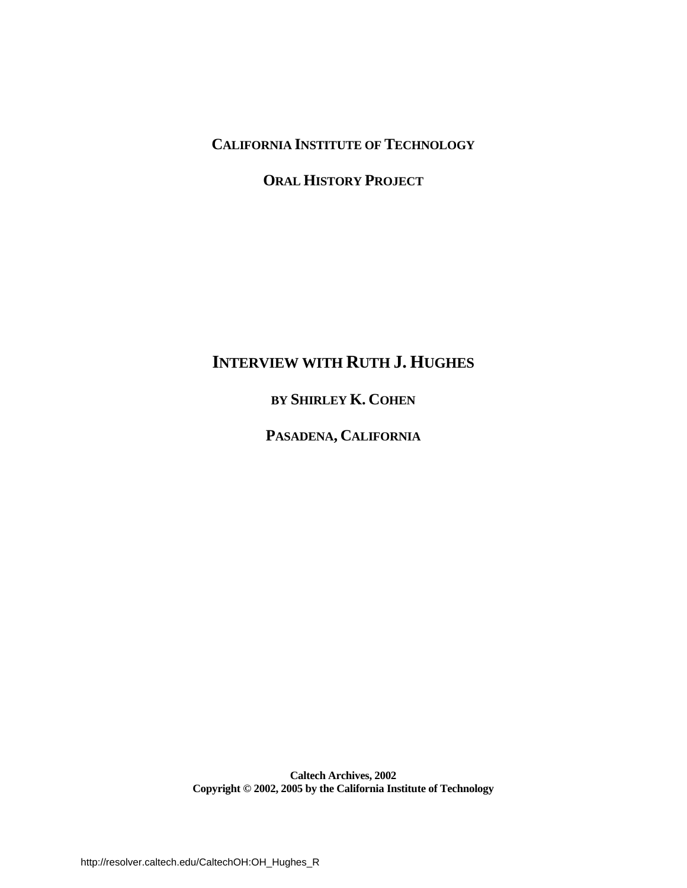# **CALIFORNIA INSTITUTE OF TECHNOLOGY**

# **ORAL HISTORY PROJECT**

# **INTERVIEW WITH RUTH J. HUGHES**

## **BY SHIRLEY K. COHEN**

## **PASADENA, CALIFORNIA**

**Caltech Archives, 2002 Copyright © 2002, 2005 by the California Institute of Technology**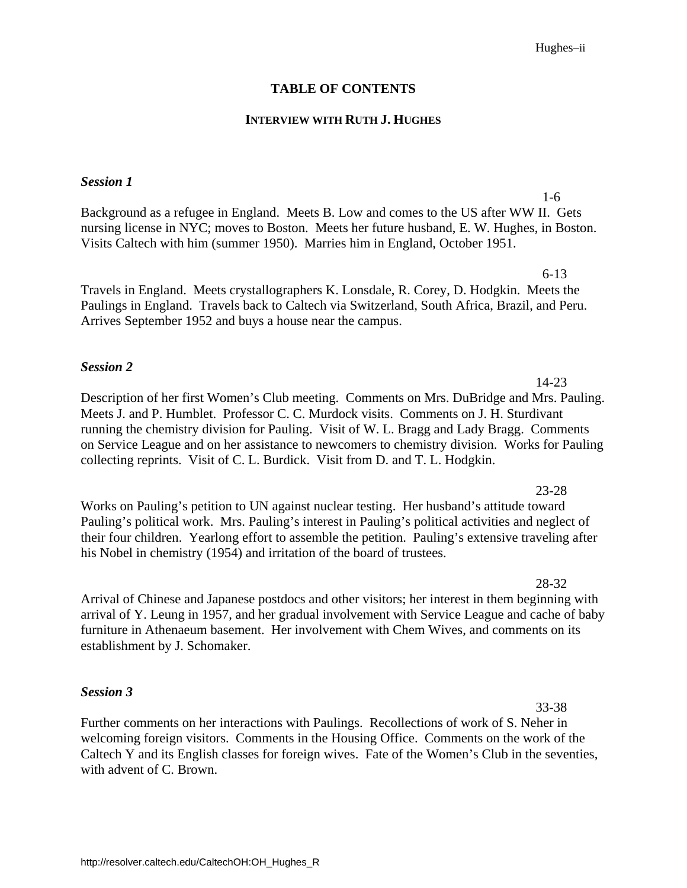#### Hughes–ii

#### **TABLE OF CONTENTS**

#### **INTERVIEW WITH RUTH J. HUGHES**

#### *Session 1*

Background as a refugee in England. Meets B. Low and comes to the US after WW II. Gets [nursing license in NYC; moves to Boston. Meets her future husband, E. W. Hughes, in Boston.](#page-6-0)  Visits Caltech with him (summer 1950). Marries him in England, October 1951.

6-13 Travels in England. Meets crystallographers K. Lonsdale, R. Corey, D. Hodgkin. Meets the [Paulings in England. Travels back to Caltech via Switzerland, South Africa, Brazil, and Peru.](#page-11-0)  Arrives September 1952 and buys a house near the campus.

#### *Session 2*

[Description of her first Women's Club meeting. Comments on Mrs. DuBridge and Mrs. Pauling.](#page-19-0)  Meets J. and P. Humblet. Professor C. C. Murdock visits. Comments on J. H. Sturdivant running the chemistry division for Pauling. Visit of W. L. Bragg and Lady Bragg. Comments on Service League and on her assistance to newcomers to chemistry division. Works for Pauling collecting reprints. Visit of C. L. Burdick. Visit from D. and T. L. Hodgkin.

Works on Pauling's petition to UN against nuclear testing. Her husband's attitude toward Pauling's political work. Mrs. Pauling's interest in Pauling's political activities and neglect of [their four children. Yearlong effort to assemble the petition. Pauling's extensive traveling after](#page-28-0)  his Nobel in chemistry (1954) and irritation of the board of trustees.

Arrival of Chinese and Japanese postdocs and other visitors; her interest in them beginning with [arrival of Y. Leung in 1957, and her gradual involvement with Service League and cache of baby](#page-33-0)  furniture in Athenaeum basement. Her involvement with Chem Wives, and comments on its establishment by J. Schomaker.

#### *Session 3*

Further comments on her interactions with Paulings. Recollections of work of S. Neher in welcoming foreign visitors. Comments in the Housing Office. Comments on the work of the [Caltech Y and its English classes for foreign wives. Fate of the Women's Club in the seventies,](#page-38-0)  with advent of C. Brown.

23-28

#### 28-32

33-38

1-6

14-23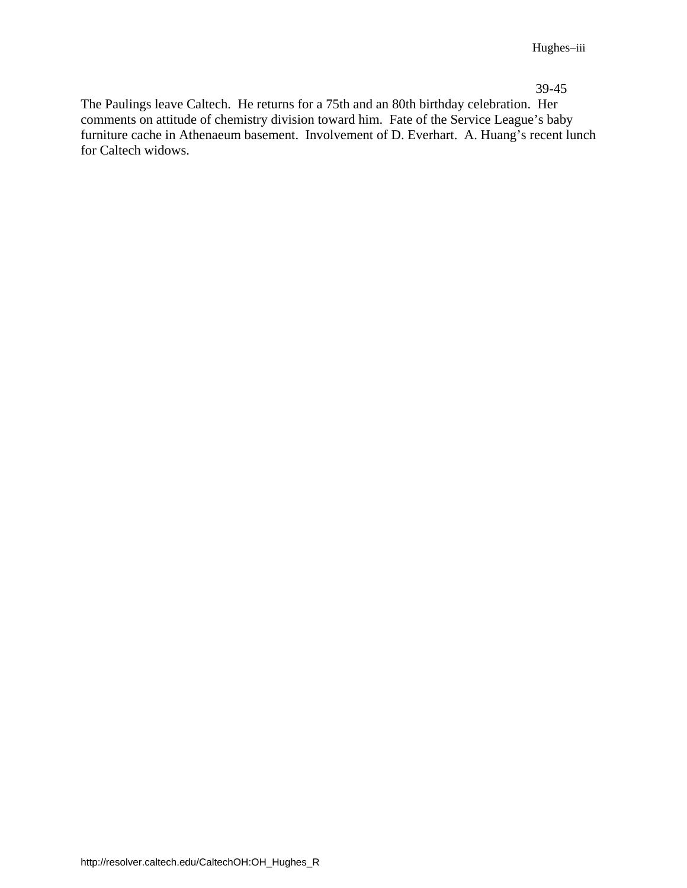39-45

The Paulings leave Caltech. He returns for a 75th and an 80th birthday celebration. Her comments on attitude of chemistry division toward him. Fate of the Service League's baby furniture cache in Athenaeum basement. Involvement of D. Everhart. A. Huang's recent lunch for Caltech widows.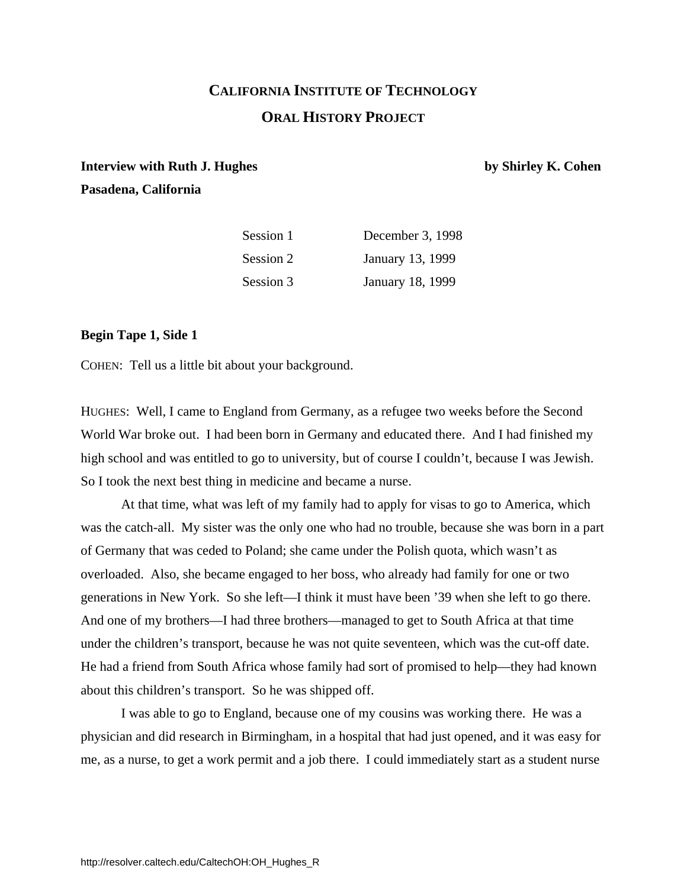# **CALIFORNIA INSTITUTE OF TECHNOLOGY ORAL HISTORY PROJECT**

# <span id="page-6-0"></span>**Interview with Ruth J. Hughes by Shirley K. Cohen Pasadena, California**

| Session 1 | December 3, 1998 |
|-----------|------------------|
| Session 2 | January 13, 1999 |
| Session 3 | January 18, 1999 |

#### **Begin Tape 1, Side 1**

COHEN: Tell us a little bit about your background.

HUGHES: Well, I came to England from Germany, as a refugee two weeks before the Second World War broke out. I had been born in Germany and educated there. And I had finished my high school and was entitled to go to university, but of course I couldn't, because I was Jewish. So I took the next best thing in medicine and became a nurse.

At that time, what was left of my family had to apply for visas to go to America, which was the catch-all. My sister was the only one who had no trouble, because she was born in a part of Germany that was ceded to Poland; she came under the Polish quota, which wasn't as overloaded. Also, she became engaged to her boss, who already had family for one or two generations in New York. So she left—I think it must have been '39 when she left to go there. And one of my brothers—I had three brothers—managed to get to South Africa at that time under the children's transport, because he was not quite seventeen, which was the cut-off date. He had a friend from South Africa whose family had sort of promised to help—they had known about this children's transport. So he was shipped off.

I was able to go to England, because one of my cousins was working there. He was a physician and did research in Birmingham, in a hospital that had just opened, and it was easy for me, as a nurse, to get a work permit and a job there. I could immediately start as a student nurse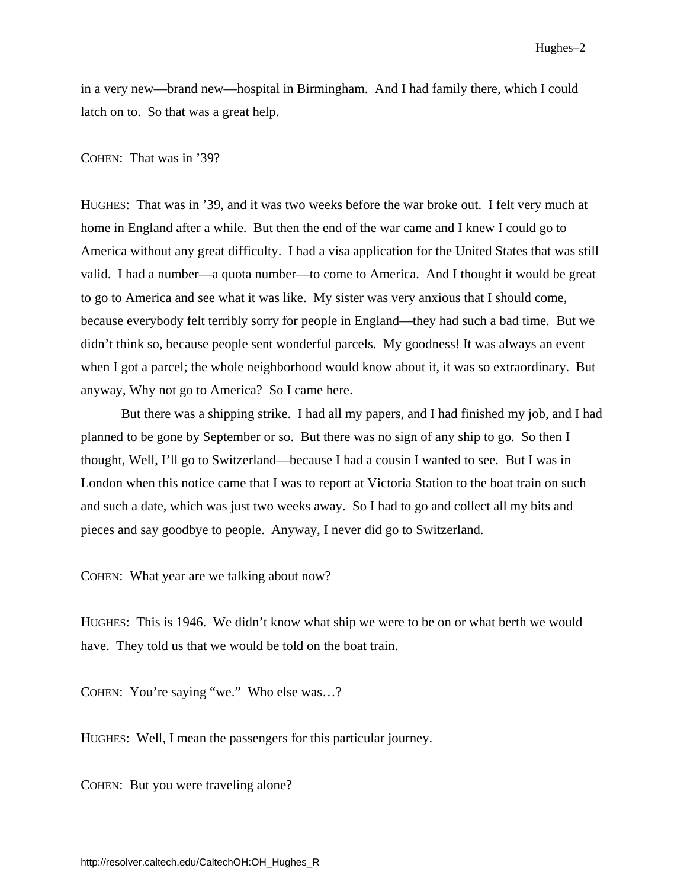in a very new—brand new—hospital in Birmingham. And I had family there, which I could latch on to. So that was a great help.

#### COHEN: That was in '39?

HUGHES: That was in '39, and it was two weeks before the war broke out. I felt very much at home in England after a while. But then the end of the war came and I knew I could go to America without any great difficulty. I had a visa application for the United States that was still valid. I had a number—a quota number—to come to America. And I thought it would be great to go to America and see what it was like. My sister was very anxious that I should come, because everybody felt terribly sorry for people in England—they had such a bad time. But we didn't think so, because people sent wonderful parcels. My goodness! It was always an event when I got a parcel; the whole neighborhood would know about it, it was so extraordinary. But anyway, Why not go to America? So I came here.

 But there was a shipping strike. I had all my papers, and I had finished my job, and I had planned to be gone by September or so. But there was no sign of any ship to go. So then I thought, Well, I'll go to Switzerland—because I had a cousin I wanted to see. But I was in London when this notice came that I was to report at Victoria Station to the boat train on such and such a date, which was just two weeks away. So I had to go and collect all my bits and pieces and say goodbye to people. Anyway, I never did go to Switzerland.

COHEN: What year are we talking about now?

HUGHES: This is 1946. We didn't know what ship we were to be on or what berth we would have. They told us that we would be told on the boat train.

COHEN: You're saying "we." Who else was…?

HUGHES: Well, I mean the passengers for this particular journey.

COHEN: But you were traveling alone?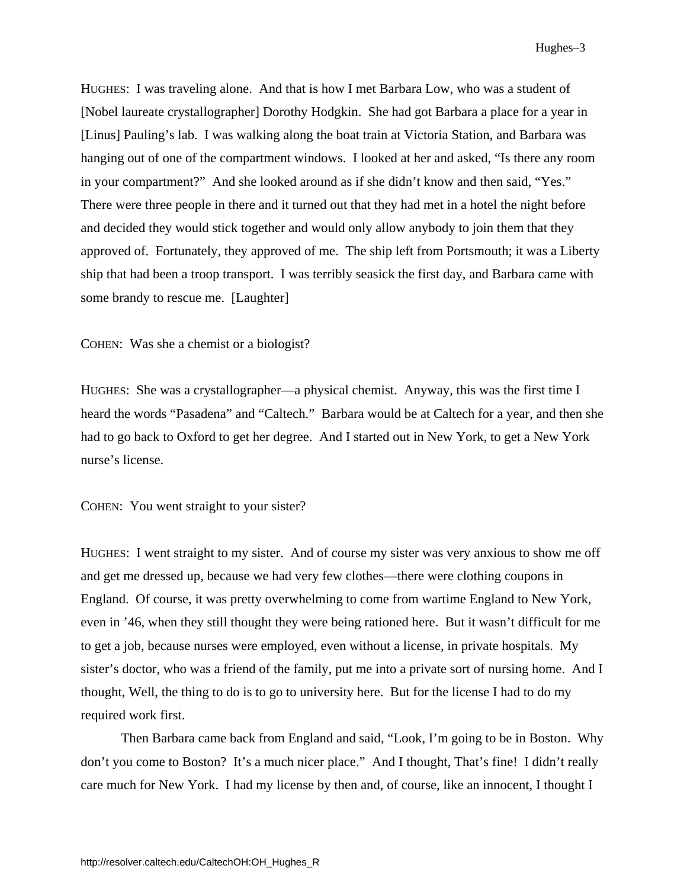Hughes–3

HUGHES: I was traveling alone. And that is how I met Barbara Low, who was a student of [Nobel laureate crystallographer] Dorothy Hodgkin. She had got Barbara a place for a year in [Linus] Pauling's lab. I was walking along the boat train at Victoria Station, and Barbara was hanging out of one of the compartment windows. I looked at her and asked, "Is there any room in your compartment?" And she looked around as if she didn't know and then said, "Yes." There were three people in there and it turned out that they had met in a hotel the night before and decided they would stick together and would only allow anybody to join them that they approved of. Fortunately, they approved of me. The ship left from Portsmouth; it was a Liberty ship that had been a troop transport. I was terribly seasick the first day, and Barbara came with some brandy to rescue me. [Laughter]

COHEN: Was she a chemist or a biologist?

HUGHES: She was a crystallographer—a physical chemist. Anyway, this was the first time I heard the words "Pasadena" and "Caltech." Barbara would be at Caltech for a year, and then she had to go back to Oxford to get her degree. And I started out in New York, to get a New York nurse's license.

COHEN: You went straight to your sister?

HUGHES: I went straight to my sister. And of course my sister was very anxious to show me off and get me dressed up, because we had very few clothes—there were clothing coupons in England. Of course, it was pretty overwhelming to come from wartime England to New York, even in '46, when they still thought they were being rationed here. But it wasn't difficult for me to get a job, because nurses were employed, even without a license, in private hospitals. My sister's doctor, who was a friend of the family, put me into a private sort of nursing home. And I thought, Well, the thing to do is to go to university here. But for the license I had to do my required work first.

Then Barbara came back from England and said, "Look, I'm going to be in Boston. Why don't you come to Boston? It's a much nicer place." And I thought, That's fine! I didn't really care much for New York. I had my license by then and, of course, like an innocent, I thought I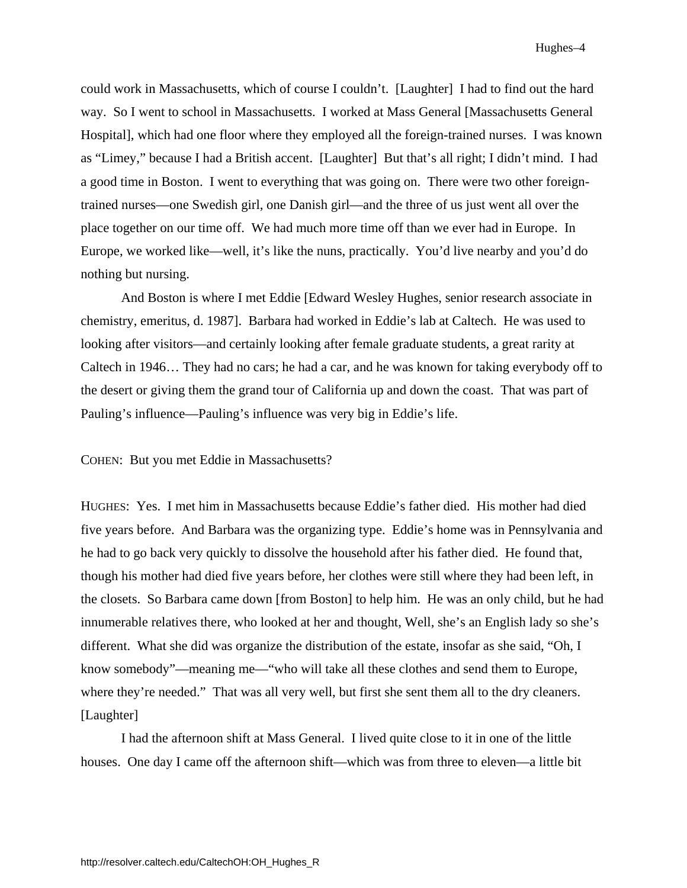could work in Massachusetts, which of course I couldn't. [Laughter] I had to find out the hard way. So I went to school in Massachusetts. I worked at Mass General [Massachusetts General Hospital], which had one floor where they employed all the foreign-trained nurses. I was known as "Limey," because I had a British accent. [Laughter] But that's all right; I didn't mind. I had a good time in Boston. I went to everything that was going on. There were two other foreigntrained nurses—one Swedish girl, one Danish girl—and the three of us just went all over the place together on our time off. We had much more time off than we ever had in Europe. In Europe, we worked like—well, it's like the nuns, practically. You'd live nearby and you'd do nothing but nursing.

And Boston is where I met Eddie [Edward Wesley Hughes, senior research associate in chemistry, emeritus, d. 1987]. Barbara had worked in Eddie's lab at Caltech. He was used to looking after visitors—and certainly looking after female graduate students, a great rarity at Caltech in 1946… They had no cars; he had a car, and he was known for taking everybody off to the desert or giving them the grand tour of California up and down the coast. That was part of Pauling's influence—Pauling's influence was very big in Eddie's life.

COHEN: But you met Eddie in Massachusetts?

HUGHES: Yes. I met him in Massachusetts because Eddie's father died. His mother had died five years before. And Barbara was the organizing type. Eddie's home was in Pennsylvania and he had to go back very quickly to dissolve the household after his father died. He found that, though his mother had died five years before, her clothes were still where they had been left, in the closets. So Barbara came down [from Boston] to help him. He was an only child, but he had innumerable relatives there, who looked at her and thought, Well, she's an English lady so she's different. What she did was organize the distribution of the estate, insofar as she said, "Oh, I know somebody"—meaning me—"who will take all these clothes and send them to Europe, where they're needed." That was all very well, but first she sent them all to the dry cleaners. [Laughter]

 I had the afternoon shift at Mass General. I lived quite close to it in one of the little houses. One day I came off the afternoon shift—which was from three to eleven—a little bit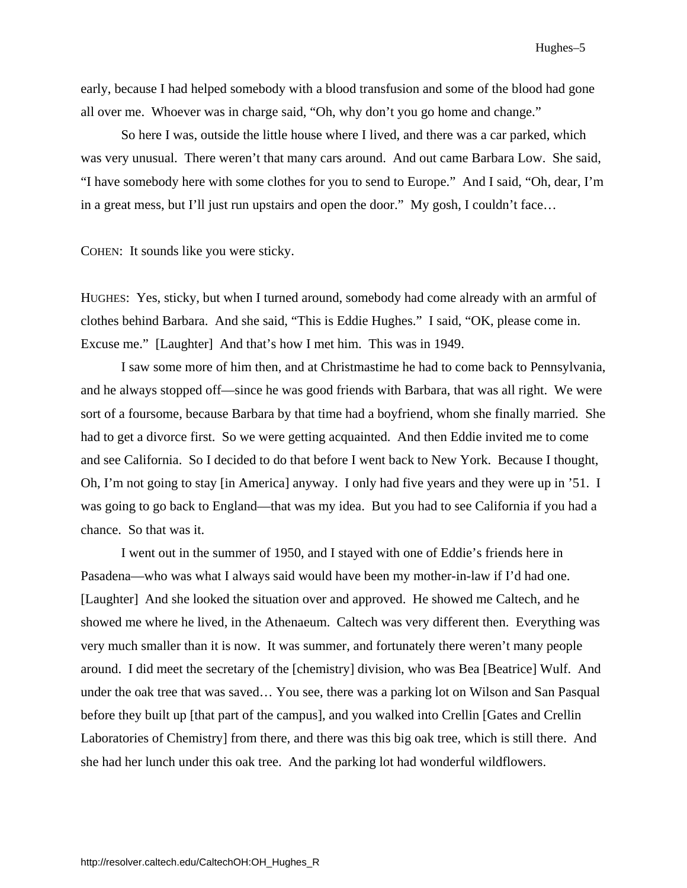early, because I had helped somebody with a blood transfusion and some of the blood had gone all over me. Whoever was in charge said, "Oh, why don't you go home and change."

 So here I was, outside the little house where I lived, and there was a car parked, which was very unusual. There weren't that many cars around. And out came Barbara Low. She said, "I have somebody here with some clothes for you to send to Europe." And I said, "Oh, dear, I'm in a great mess, but I'll just run upstairs and open the door." My gosh, I couldn't face…

COHEN: It sounds like you were sticky.

HUGHES: Yes, sticky, but when I turned around, somebody had come already with an armful of clothes behind Barbara. And she said, "This is Eddie Hughes." I said, "OK, please come in. Excuse me." [Laughter] And that's how I met him. This was in 1949.

I saw some more of him then, and at Christmastime he had to come back to Pennsylvania, and he always stopped off—since he was good friends with Barbara, that was all right. We were sort of a foursome, because Barbara by that time had a boyfriend, whom she finally married. She had to get a divorce first. So we were getting acquainted. And then Eddie invited me to come and see California. So I decided to do that before I went back to New York. Because I thought, Oh, I'm not going to stay [in America] anyway. I only had five years and they were up in '51. I was going to go back to England—that was my idea. But you had to see California if you had a chance. So that was it.

 I went out in the summer of 1950, and I stayed with one of Eddie's friends here in Pasadena—who was what I always said would have been my mother-in-law if I'd had one. [Laughter] And she looked the situation over and approved. He showed me Caltech, and he showed me where he lived, in the Athenaeum. Caltech was very different then. Everything was very much smaller than it is now. It was summer, and fortunately there weren't many people around. I did meet the secretary of the [chemistry] division, who was Bea [Beatrice] Wulf. And under the oak tree that was saved… You see, there was a parking lot on Wilson and San Pasqual before they built up [that part of the campus], and you walked into Crellin [Gates and Crellin Laboratories of Chemistry] from there, and there was this big oak tree, which is still there. And she had her lunch under this oak tree. And the parking lot had wonderful wildflowers.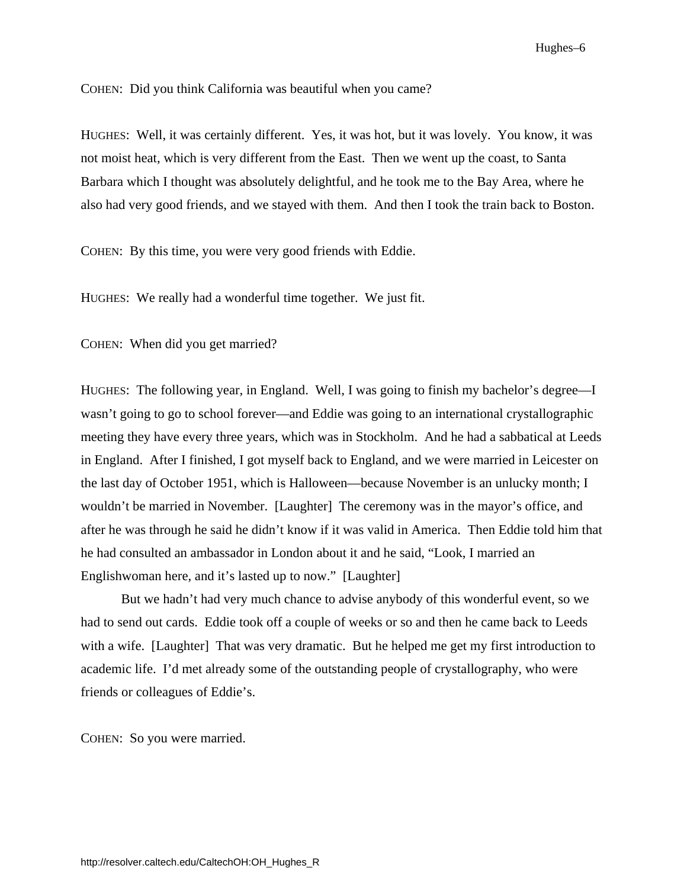Hughes–6

<span id="page-11-0"></span>COHEN: Did you think California was beautiful when you came?

HUGHES: Well, it was certainly different. Yes, it was hot, but it was lovely. You know, it was not moist heat, which is very different from the East. Then we went up the coast, to Santa Barbara which I thought was absolutely delightful, and he took me to the Bay Area, where he also had very good friends, and we stayed with them. And then I took the train back to Boston.

COHEN: By this time, you were very good friends with Eddie.

HUGHES: We really had a wonderful time together. We just fit.

COHEN: When did you get married?

HUGHES: The following year, in England. Well, I was going to finish my bachelor's degree—I wasn't going to go to school forever—and Eddie was going to an international crystallographic meeting they have every three years, which was in Stockholm. And he had a sabbatical at Leeds in England. After I finished, I got myself back to England, and we were married in Leicester on the last day of October 1951, which is Halloween—because November is an unlucky month; I wouldn't be married in November. [Laughter] The ceremony was in the mayor's office, and after he was through he said he didn't know if it was valid in America. Then Eddie told him that he had consulted an ambassador in London about it and he said, "Look, I married an Englishwoman here, and it's lasted up to now." [Laughter]

But we hadn't had very much chance to advise anybody of this wonderful event, so we had to send out cards. Eddie took off a couple of weeks or so and then he came back to Leeds with a wife. [Laughter] That was very dramatic. But he helped me get my first introduction to academic life. I'd met already some of the outstanding people of crystallography, who were friends or colleagues of Eddie's.

COHEN: So you were married.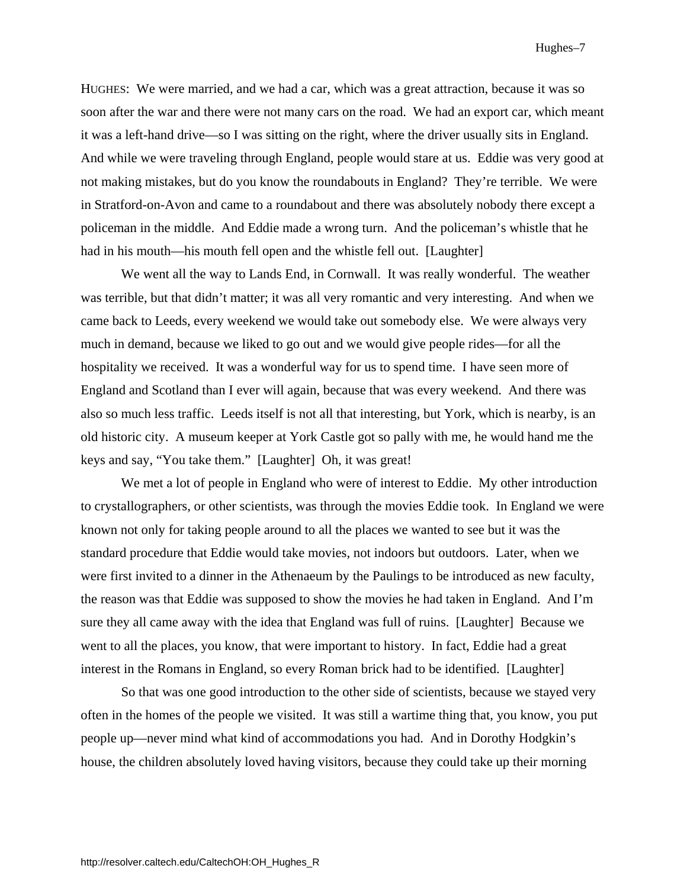HUGHES: We were married, and we had a car, which was a great attraction, because it was so soon after the war and there were not many cars on the road. We had an export car, which meant it was a left-hand drive—so I was sitting on the right, where the driver usually sits in England. And while we were traveling through England, people would stare at us. Eddie was very good at not making mistakes, but do you know the roundabouts in England? They're terrible. We were in Stratford-on-Avon and came to a roundabout and there was absolutely nobody there except a policeman in the middle. And Eddie made a wrong turn. And the policeman's whistle that he had in his mouth—his mouth fell open and the whistle fell out. [Laughter]

 We went all the way to Lands End, in Cornwall. It was really wonderful. The weather was terrible, but that didn't matter; it was all very romantic and very interesting. And when we came back to Leeds, every weekend we would take out somebody else. We were always very much in demand, because we liked to go out and we would give people rides—for all the hospitality we received. It was a wonderful way for us to spend time. I have seen more of England and Scotland than I ever will again, because that was every weekend. And there was also so much less traffic. Leeds itself is not all that interesting, but York, which is nearby, is an old historic city. A museum keeper at York Castle got so pally with me, he would hand me the keys and say, "You take them." [Laughter] Oh, it was great!

 We met a lot of people in England who were of interest to Eddie. My other introduction to crystallographers, or other scientists, was through the movies Eddie took. In England we were known not only for taking people around to all the places we wanted to see but it was the standard procedure that Eddie would take movies, not indoors but outdoors. Later, when we were first invited to a dinner in the Athenaeum by the Paulings to be introduced as new faculty, the reason was that Eddie was supposed to show the movies he had taken in England. And I'm sure they all came away with the idea that England was full of ruins. [Laughter] Because we went to all the places, you know, that were important to history. In fact, Eddie had a great interest in the Romans in England, so every Roman brick had to be identified. [Laughter]

So that was one good introduction to the other side of scientists, because we stayed very often in the homes of the people we visited. It was still a wartime thing that, you know, you put people up—never mind what kind of accommodations you had. And in Dorothy Hodgkin's house, the children absolutely loved having visitors, because they could take up their morning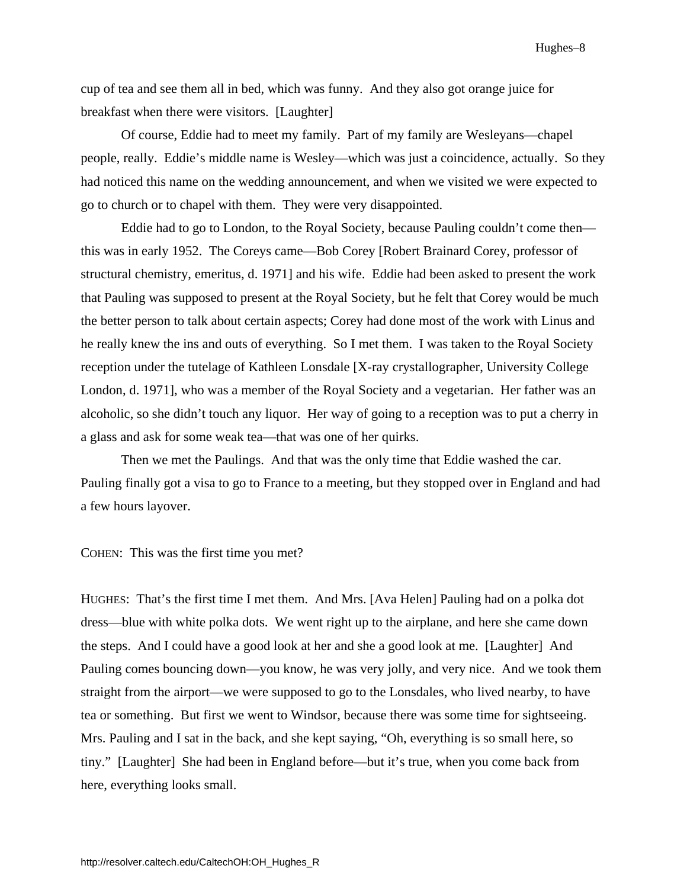Hughes–8

cup of tea and see them all in bed, which was funny. And they also got orange juice for breakfast when there were visitors. [Laughter]

Of course, Eddie had to meet my family. Part of my family are Wesleyans—chapel people, really. Eddie's middle name is Wesley—which was just a coincidence, actually. So they had noticed this name on the wedding announcement, and when we visited we were expected to go to church or to chapel with them. They were very disappointed.

 Eddie had to go to London, to the Royal Society, because Pauling couldn't come then this was in early 1952. The Coreys came—Bob Corey [Robert Brainard Corey, professor of structural chemistry, emeritus, d. 1971] and his wife. Eddie had been asked to present the work that Pauling was supposed to present at the Royal Society, but he felt that Corey would be much the better person to talk about certain aspects; Corey had done most of the work with Linus and he really knew the ins and outs of everything. So I met them. I was taken to the Royal Society reception under the tutelage of Kathleen Lonsdale [X-ray crystallographer, University College London, d. 1971], who was a member of the Royal Society and a vegetarian. Her father was an alcoholic, so she didn't touch any liquor. Her way of going to a reception was to put a cherry in a glass and ask for some weak tea—that was one of her quirks.

 Then we met the Paulings. And that was the only time that Eddie washed the car. Pauling finally got a visa to go to France to a meeting, but they stopped over in England and had a few hours layover.

COHEN: This was the first time you met?

HUGHES: That's the first time I met them. And Mrs. [Ava Helen] Pauling had on a polka dot dress—blue with white polka dots. We went right up to the airplane, and here she came down the steps. And I could have a good look at her and she a good look at me. [Laughter] And Pauling comes bouncing down—you know, he was very jolly, and very nice. And we took them straight from the airport—we were supposed to go to the Lonsdales, who lived nearby, to have tea or something. But first we went to Windsor, because there was some time for sightseeing. Mrs. Pauling and I sat in the back, and she kept saying, "Oh, everything is so small here, so tiny." [Laughter] She had been in England before—but it's true, when you come back from here, everything looks small.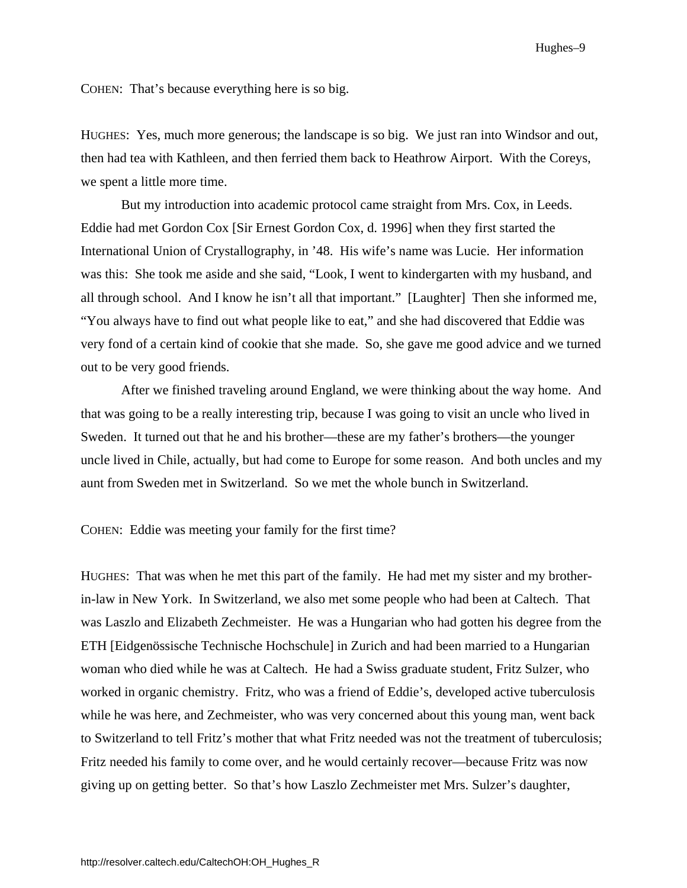Hughes–9

COHEN: That's because everything here is so big.

HUGHES: Yes, much more generous; the landscape is so big. We just ran into Windsor and out, then had tea with Kathleen, and then ferried them back to Heathrow Airport. With the Coreys, we spent a little more time.

But my introduction into academic protocol came straight from Mrs. Cox, in Leeds. Eddie had met Gordon Cox [Sir Ernest Gordon Cox, d. 1996] when they first started the International Union of Crystallography, in '48. His wife's name was Lucie. Her information was this: She took me aside and she said, "Look, I went to kindergarten with my husband, and all through school. And I know he isn't all that important." [Laughter] Then she informed me, "You always have to find out what people like to eat," and she had discovered that Eddie was very fond of a certain kind of cookie that she made. So, she gave me good advice and we turned out to be very good friends.

 After we finished traveling around England, we were thinking about the way home. And that was going to be a really interesting trip, because I was going to visit an uncle who lived in Sweden. It turned out that he and his brother—these are my father's brothers—the younger uncle lived in Chile, actually, but had come to Europe for some reason. And both uncles and my aunt from Sweden met in Switzerland. So we met the whole bunch in Switzerland.

COHEN: Eddie was meeting your family for the first time?

HUGHES: That was when he met this part of the family. He had met my sister and my brotherin-law in New York. In Switzerland, we also met some people who had been at Caltech. That was Laszlo and Elizabeth Zechmeister. He was a Hungarian who had gotten his degree from the ETH [Eidgenössische Technische Hochschule] in Zurich and had been married to a Hungarian woman who died while he was at Caltech. He had a Swiss graduate student, Fritz Sulzer, who worked in organic chemistry. Fritz, who was a friend of Eddie's, developed active tuberculosis while he was here, and Zechmeister, who was very concerned about this young man, went back to Switzerland to tell Fritz's mother that what Fritz needed was not the treatment of tuberculosis; Fritz needed his family to come over, and he would certainly recover—because Fritz was now giving up on getting better. So that's how Laszlo Zechmeister met Mrs. Sulzer's daughter,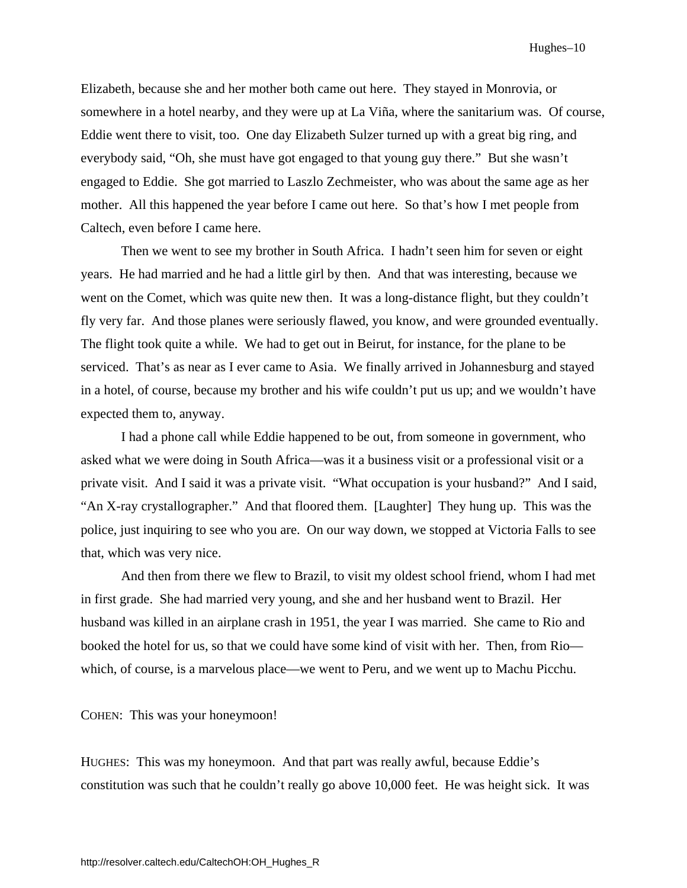Elizabeth, because she and her mother both came out here. They stayed in Monrovia, or somewhere in a hotel nearby, and they were up at La Viña, where the sanitarium was. Of course, Eddie went there to visit, too. One day Elizabeth Sulzer turned up with a great big ring, and everybody said, "Oh, she must have got engaged to that young guy there." But she wasn't engaged to Eddie. She got married to Laszlo Zechmeister, who was about the same age as her mother. All this happened the year before I came out here. So that's how I met people from Caltech, even before I came here.

 Then we went to see my brother in South Africa. I hadn't seen him for seven or eight years. He had married and he had a little girl by then. And that was interesting, because we went on the Comet, which was quite new then. It was a long-distance flight, but they couldn't fly very far. And those planes were seriously flawed, you know, and were grounded eventually. The flight took quite a while. We had to get out in Beirut, for instance, for the plane to be serviced. That's as near as I ever came to Asia. We finally arrived in Johannesburg and stayed in a hotel, of course, because my brother and his wife couldn't put us up; and we wouldn't have expected them to, anyway.

 I had a phone call while Eddie happened to be out, from someone in government, who asked what we were doing in South Africa—was it a business visit or a professional visit or a private visit. And I said it was a private visit. "What occupation is your husband?" And I said, "An X-ray crystallographer." And that floored them. [Laughter] They hung up. This was the police, just inquiring to see who you are. On our way down, we stopped at Victoria Falls to see that, which was very nice.

And then from there we flew to Brazil, to visit my oldest school friend, whom I had met in first grade. She had married very young, and she and her husband went to Brazil. Her husband was killed in an airplane crash in 1951, the year I was married. She came to Rio and booked the hotel for us, so that we could have some kind of visit with her. Then, from Rio which, of course, is a marvelous place—we went to Peru, and we went up to Machu Picchu.

COHEN: This was your honeymoon!

HUGHES: This was my honeymoon. And that part was really awful, because Eddie's constitution was such that he couldn't really go above 10,000 feet. He was height sick. It was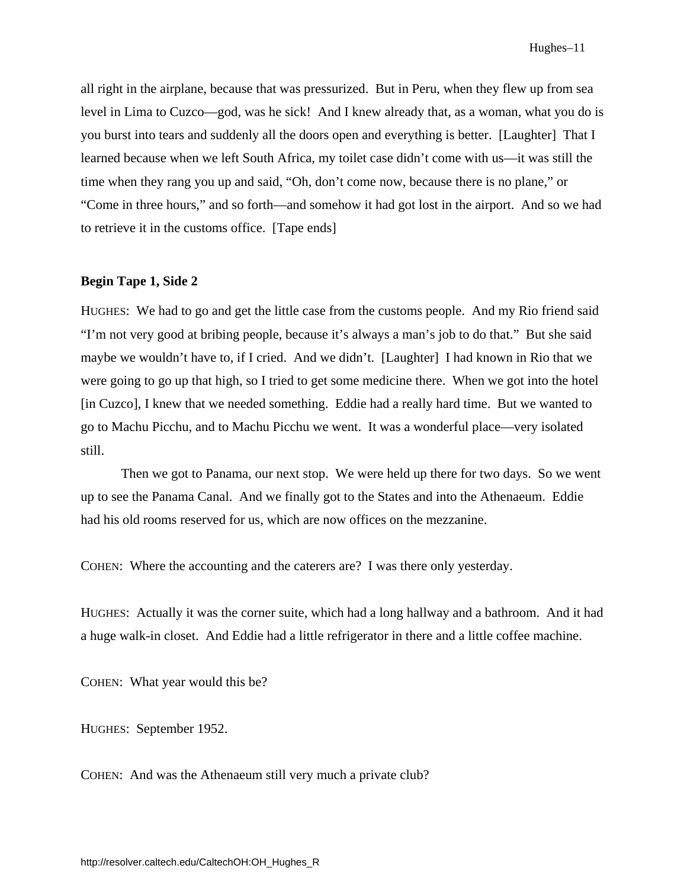all right in the airplane, because that was pressurized. But in Peru, when they flew up from sea level in Lima to Cuzco—god, was he sick! And I knew already that, as a woman, what you do is you burst into tears and suddenly all the doors open and everything is better. [Laughter] That I learned because when we left South Africa, my toilet case didn't come with us—it was still the time when they rang you up and said, "Oh, don't come now, because there is no plane," or "Come in three hours," and so forth—and somehow it had got lost in the airport. And so we had to retrieve it in the customs office. [Tape ends]

#### **Begin Tape 1, Side 2**

HUGHES: We had to go and get the little case from the customs people. And my Rio friend said "I'm not very good at bribing people, because it's always a man's job to do that." But she said maybe we wouldn't have to, if I cried. And we didn't. [Laughter] I had known in Rio that we were going to go up that high, so I tried to get some medicine there. When we got into the hotel [in Cuzco], I knew that we needed something. Eddie had a really hard time. But we wanted to go to Machu Picchu, and to Machu Picchu we went. It was a wonderful place—very isolated still.

 Then we got to Panama, our next stop. We were held up there for two days. So we went up to see the Panama Canal. And we finally got to the States and into the Athenaeum. Eddie had his old rooms reserved for us, which are now offices on the mezzanine.

COHEN: Where the accounting and the caterers are? I was there only yesterday.

HUGHES: Actually it was the corner suite, which had a long hallway and a bathroom. And it had a huge walk-in closet. And Eddie had a little refrigerator in there and a little coffee machine.

COHEN: What year would this be?

HUGHES: September 1952.

COHEN: And was the Athenaeum still very much a private club?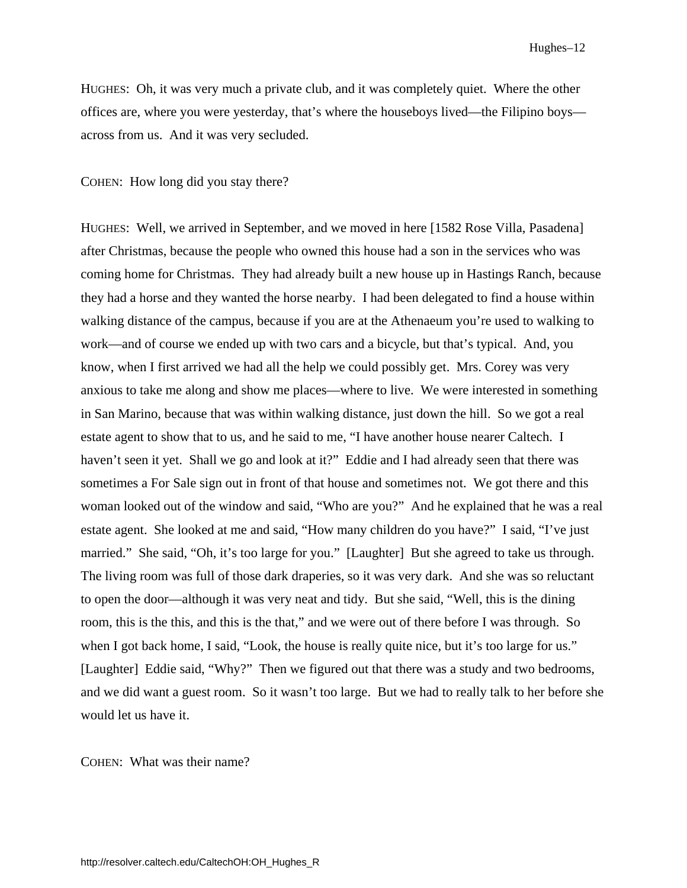HUGHES: Oh, it was very much a private club, and it was completely quiet. Where the other offices are, where you were yesterday, that's where the houseboys lived—the Filipino boys across from us. And it was very secluded.

COHEN: How long did you stay there?

HUGHES: Well, we arrived in September, and we moved in here [1582 Rose Villa, Pasadena] after Christmas, because the people who owned this house had a son in the services who was coming home for Christmas. They had already built a new house up in Hastings Ranch, because they had a horse and they wanted the horse nearby. I had been delegated to find a house within walking distance of the campus, because if you are at the Athenaeum you're used to walking to work—and of course we ended up with two cars and a bicycle, but that's typical. And, you know, when I first arrived we had all the help we could possibly get. Mrs. Corey was very anxious to take me along and show me places—where to live. We were interested in something in San Marino, because that was within walking distance, just down the hill. So we got a real estate agent to show that to us, and he said to me, "I have another house nearer Caltech. I haven't seen it yet. Shall we go and look at it?" Eddie and I had already seen that there was sometimes a For Sale sign out in front of that house and sometimes not. We got there and this woman looked out of the window and said, "Who are you?" And he explained that he was a real estate agent. She looked at me and said, "How many children do you have?" I said, "I've just married." She said, "Oh, it's too large for you." [Laughter] But she agreed to take us through. The living room was full of those dark draperies, so it was very dark. And she was so reluctant to open the door—although it was very neat and tidy. But she said, "Well, this is the dining room, this is the this, and this is the that," and we were out of there before I was through. So when I got back home, I said, "Look, the house is really quite nice, but it's too large for us." [Laughter] Eddie said, "Why?" Then we figured out that there was a study and two bedrooms, and we did want a guest room. So it wasn't too large. But we had to really talk to her before she would let us have it.

COHEN: What was their name?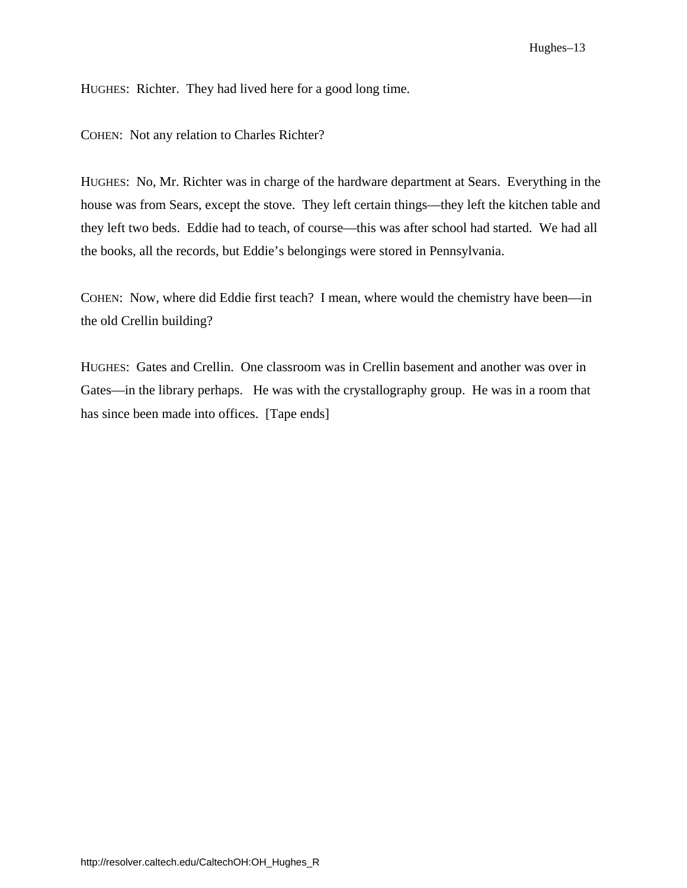HUGHES: Richter. They had lived here for a good long time.

COHEN: Not any relation to Charles Richter?

HUGHES: No, Mr. Richter was in charge of the hardware department at Sears. Everything in the house was from Sears, except the stove. They left certain things—they left the kitchen table and they left two beds. Eddie had to teach, of course—this was after school had started. We had all the books, all the records, but Eddie's belongings were stored in Pennsylvania.

COHEN: Now, where did Eddie first teach? I mean, where would the chemistry have been—in the old Crellin building?

HUGHES: Gates and Crellin. One classroom was in Crellin basement and another was over in Gates—in the library perhaps. He was with the crystallography group. He was in a room that has since been made into offices. [Tape ends]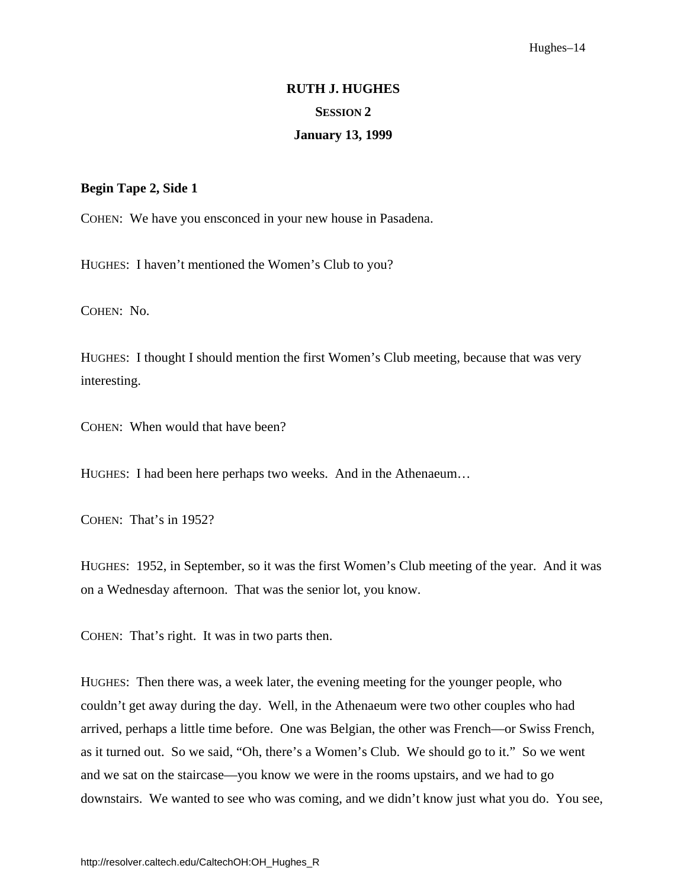#### Hughes–14

# **RUTH J. HUGHES SESSION 2**

#### **January 13, 1999**

#### <span id="page-19-0"></span>**Begin Tape 2, Side 1**

COHEN: We have you ensconced in your new house in Pasadena.

HUGHES: I haven't mentioned the Women's Club to you?

COHEN: No.

HUGHES: I thought I should mention the first Women's Club meeting, because that was very interesting.

COHEN: When would that have been?

HUGHES: I had been here perhaps two weeks. And in the Athenaeum…

COHEN: That's in 1952?

HUGHES: 1952, in September, so it was the first Women's Club meeting of the year. And it was on a Wednesday afternoon. That was the senior lot, you know.

COHEN: That's right. It was in two parts then.

HUGHES: Then there was, a week later, the evening meeting for the younger people, who couldn't get away during the day. Well, in the Athenaeum were two other couples who had arrived, perhaps a little time before. One was Belgian, the other was French—or Swiss French, as it turned out. So we said, "Oh, there's a Women's Club. We should go to it." So we went and we sat on the staircase—you know we were in the rooms upstairs, and we had to go downstairs. We wanted to see who was coming, and we didn't know just what you do. You see,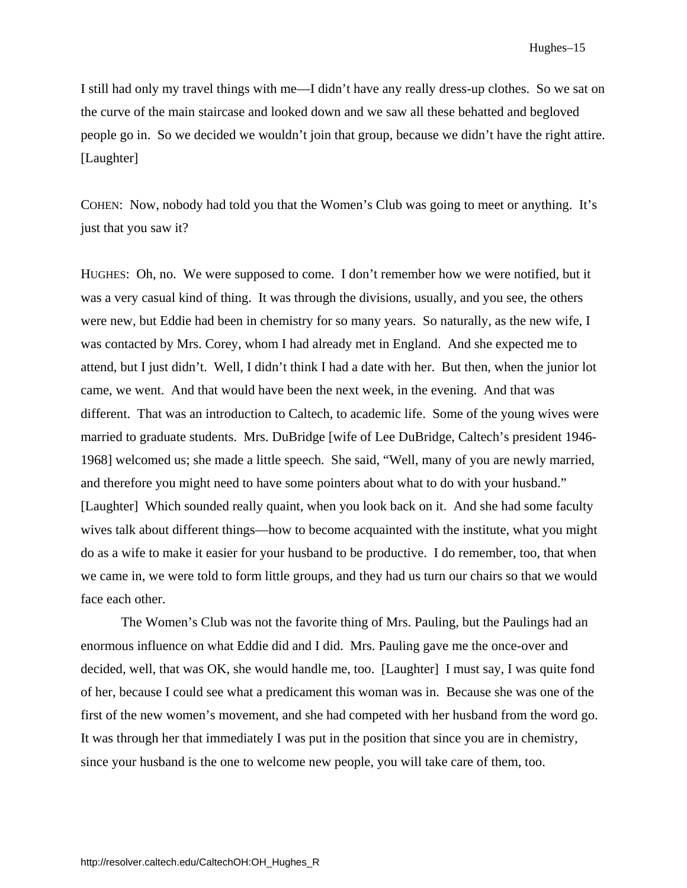I still had only my travel things with me—I didn't have any really dress-up clothes. So we sat on the curve of the main staircase and looked down and we saw all these behatted and begloved people go in. So we decided we wouldn't join that group, because we didn't have the right attire. [Laughter]

COHEN: Now, nobody had told you that the Women's Club was going to meet or anything. It's just that you saw it?

HUGHES: Oh, no. We were supposed to come. I don't remember how we were notified, but it was a very casual kind of thing. It was through the divisions, usually, and you see, the others were new, but Eddie had been in chemistry for so many years. So naturally, as the new wife, I was contacted by Mrs. Corey, whom I had already met in England. And she expected me to attend, but I just didn't. Well, I didn't think I had a date with her. But then, when the junior lot came, we went. And that would have been the next week, in the evening. And that was different. That was an introduction to Caltech, to academic life. Some of the young wives were married to graduate students. Mrs. DuBridge [wife of Lee DuBridge, Caltech's president 1946- 1968] welcomed us; she made a little speech. She said, "Well, many of you are newly married, and therefore you might need to have some pointers about what to do with your husband." [Laughter] Which sounded really quaint, when you look back on it. And she had some faculty wives talk about different things—how to become acquainted with the institute, what you might do as a wife to make it easier for your husband to be productive. I do remember, too, that when we came in, we were told to form little groups, and they had us turn our chairs so that we would face each other.

The Women's Club was not the favorite thing of Mrs. Pauling, but the Paulings had an enormous influence on what Eddie did and I did. Mrs. Pauling gave me the once-over and decided, well, that was OK, she would handle me, too. [Laughter] I must say, I was quite fond of her, because I could see what a predicament this woman was in. Because she was one of the first of the new women's movement, and she had competed with her husband from the word go. It was through her that immediately I was put in the position that since you are in chemistry, since your husband is the one to welcome new people, you will take care of them, too.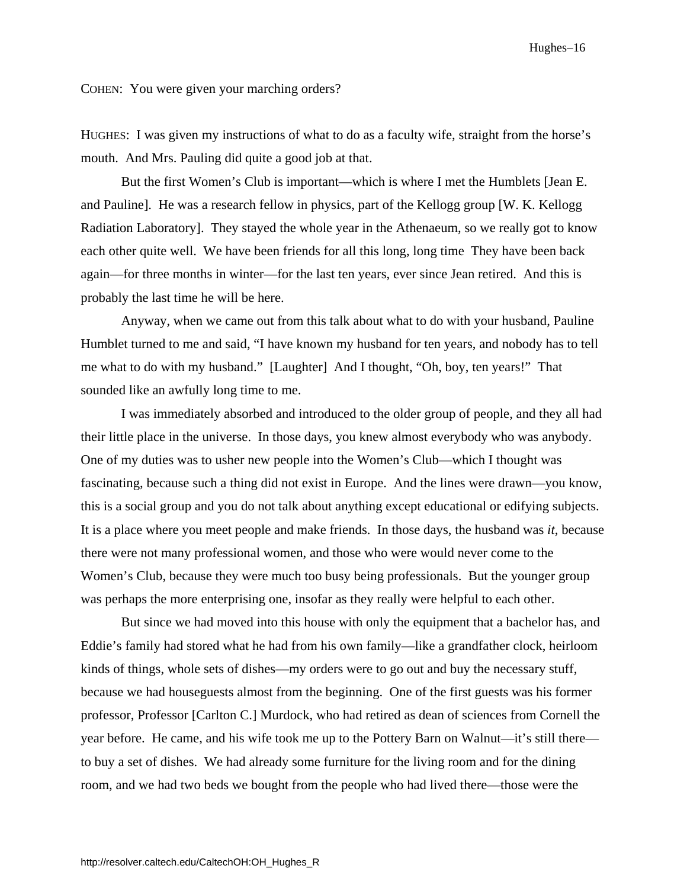Hughes–16

COHEN: You were given your marching orders?

HUGHES: I was given my instructions of what to do as a faculty wife, straight from the horse's mouth. And Mrs. Pauling did quite a good job at that.

But the first Women's Club is important—which is where I met the Humblets [Jean E. and Pauline]. He was a research fellow in physics, part of the Kellogg group [W. K. Kellogg Radiation Laboratory]. They stayed the whole year in the Athenaeum, so we really got to know each other quite well. We have been friends for all this long, long time They have been back again—for three months in winter—for the last ten years, ever since Jean retired. And this is probably the last time he will be here.

 Anyway, when we came out from this talk about what to do with your husband, Pauline Humblet turned to me and said, "I have known my husband for ten years, and nobody has to tell me what to do with my husband." [Laughter] And I thought, "Oh, boy, ten years!" That sounded like an awfully long time to me.

I was immediately absorbed and introduced to the older group of people, and they all had their little place in the universe. In those days, you knew almost everybody who was anybody. One of my duties was to usher new people into the Women's Club—which I thought was fascinating, because such a thing did not exist in Europe. And the lines were drawn—you know, this is a social group and you do not talk about anything except educational or edifying subjects. It is a place where you meet people and make friends. In those days, the husband was *it*, because there were not many professional women, and those who were would never come to the Women's Club, because they were much too busy being professionals. But the younger group was perhaps the more enterprising one, insofar as they really were helpful to each other.

But since we had moved into this house with only the equipment that a bachelor has, and Eddie's family had stored what he had from his own family—like a grandfather clock, heirloom kinds of things, whole sets of dishes—my orders were to go out and buy the necessary stuff, because we had houseguests almost from the beginning. One of the first guests was his former professor, Professor [Carlton C.] Murdock, who had retired as dean of sciences from Cornell the year before. He came, and his wife took me up to the Pottery Barn on Walnut—it's still there to buy a set of dishes. We had already some furniture for the living room and for the dining room, and we had two beds we bought from the people who had lived there—those were the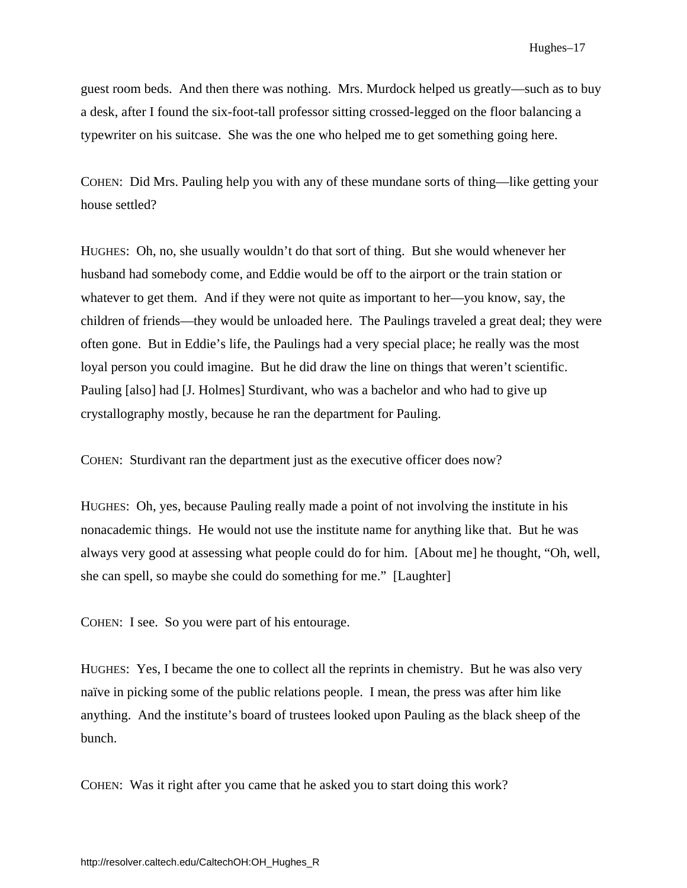guest room beds. And then there was nothing. Mrs. Murdock helped us greatly—such as to buy a desk, after I found the six-foot-tall professor sitting crossed-legged on the floor balancing a typewriter on his suitcase. She was the one who helped me to get something going here.

COHEN: Did Mrs. Pauling help you with any of these mundane sorts of thing—like getting your house settled?

HUGHES: Oh, no, she usually wouldn't do that sort of thing. But she would whenever her husband had somebody come, and Eddie would be off to the airport or the train station or whatever to get them. And if they were not quite as important to her—you know, say, the children of friends—they would be unloaded here. The Paulings traveled a great deal; they were often gone. But in Eddie's life, the Paulings had a very special place; he really was the most loyal person you could imagine. But he did draw the line on things that weren't scientific. Pauling [also] had [J. Holmes] Sturdivant, who was a bachelor and who had to give up crystallography mostly, because he ran the department for Pauling.

COHEN: Sturdivant ran the department just as the executive officer does now?

HUGHES: Oh, yes, because Pauling really made a point of not involving the institute in his nonacademic things. He would not use the institute name for anything like that. But he was always very good at assessing what people could do for him. [About me] he thought, "Oh, well, she can spell, so maybe she could do something for me." [Laughter]

COHEN: I see. So you were part of his entourage.

HUGHES: Yes, I became the one to collect all the reprints in chemistry. But he was also very naïve in picking some of the public relations people. I mean, the press was after him like anything. And the institute's board of trustees looked upon Pauling as the black sheep of the bunch.

COHEN: Was it right after you came that he asked you to start doing this work?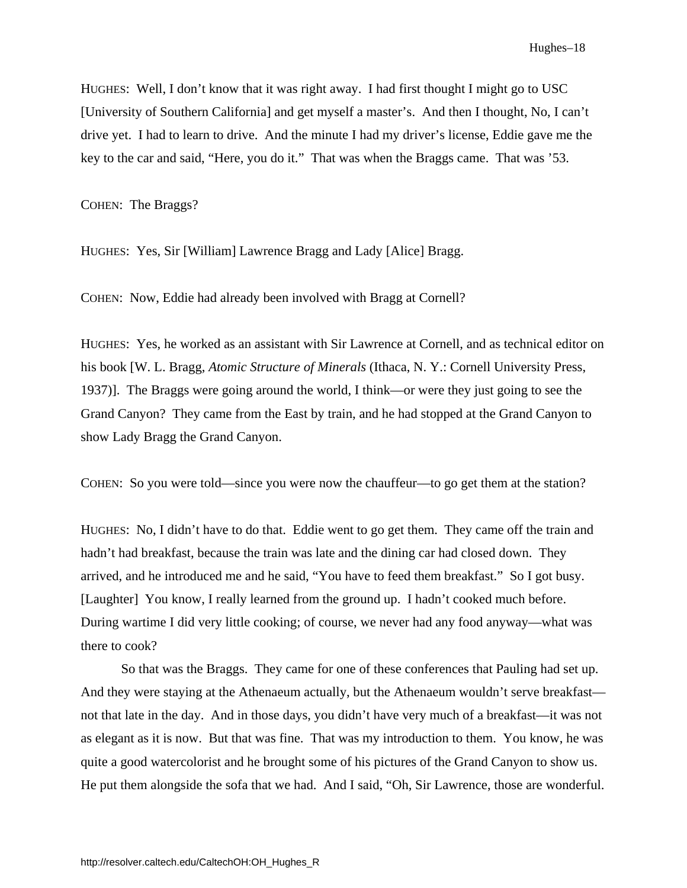HUGHES: Well, I don't know that it was right away. I had first thought I might go to USC [University of Southern California] and get myself a master's. And then I thought, No, I can't drive yet. I had to learn to drive. And the minute I had my driver's license, Eddie gave me the key to the car and said, "Here, you do it." That was when the Braggs came. That was '53.

COHEN: The Braggs?

HUGHES: Yes, Sir [William] Lawrence Bragg and Lady [Alice] Bragg.

COHEN: Now, Eddie had already been involved with Bragg at Cornell?

HUGHES: Yes, he worked as an assistant with Sir Lawrence at Cornell, and as technical editor on his book [W. L. Bragg, *Atomic Structure of Minerals* (Ithaca, N. Y.: Cornell University Press, 1937)]. The Braggs were going around the world, I think—or were they just going to see the Grand Canyon? They came from the East by train, and he had stopped at the Grand Canyon to show Lady Bragg the Grand Canyon.

COHEN: So you were told—since you were now the chauffeur—to go get them at the station?

HUGHES: No, I didn't have to do that. Eddie went to go get them. They came off the train and hadn't had breakfast, because the train was late and the dining car had closed down. They arrived, and he introduced me and he said, "You have to feed them breakfast." So I got busy. [Laughter] You know, I really learned from the ground up. I hadn't cooked much before. During wartime I did very little cooking; of course, we never had any food anyway—what was there to cook?

So that was the Braggs. They came for one of these conferences that Pauling had set up. And they were staying at the Athenaeum actually, but the Athenaeum wouldn't serve breakfast not that late in the day. And in those days, you didn't have very much of a breakfast—it was not as elegant as it is now. But that was fine. That was my introduction to them. You know, he was quite a good watercolorist and he brought some of his pictures of the Grand Canyon to show us. He put them alongside the sofa that we had. And I said, "Oh, Sir Lawrence, those are wonderful.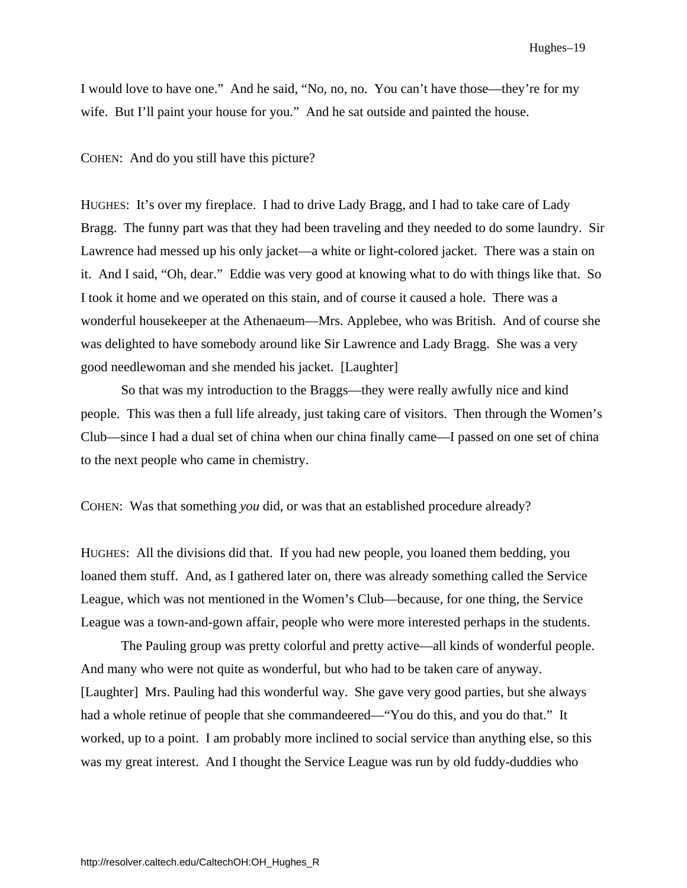I would love to have one." And he said, "No, no, no. You can't have those—they're for my wife. But I'll paint your house for you." And he sat outside and painted the house.

COHEN: And do you still have this picture?

HUGHES: It's over my fireplace. I had to drive Lady Bragg, and I had to take care of Lady Bragg. The funny part was that they had been traveling and they needed to do some laundry. Sir Lawrence had messed up his only jacket—a white or light-colored jacket. There was a stain on it. And I said, "Oh, dear." Eddie was very good at knowing what to do with things like that. So I took it home and we operated on this stain, and of course it caused a hole. There was a wonderful housekeeper at the Athenaeum—Mrs. Applebee, who was British. And of course she was delighted to have somebody around like Sir Lawrence and Lady Bragg. She was a very good needlewoman and she mended his jacket. [Laughter]

So that was my introduction to the Braggs—they were really awfully nice and kind people. This was then a full life already, just taking care of visitors. Then through the Women's Club—since I had a dual set of china when our china finally came—I passed on one set of china to the next people who came in chemistry.

COHEN: Was that something *you* did, or was that an established procedure already?

HUGHES: All the divisions did that. If you had new people, you loaned them bedding, you loaned them stuff. And, as I gathered later on, there was already something called the Service League, which was not mentioned in the Women's Club—because, for one thing, the Service League was a town-and-gown affair, people who were more interested perhaps in the students.

The Pauling group was pretty colorful and pretty active—all kinds of wonderful people. And many who were not quite as wonderful, but who had to be taken care of anyway. [Laughter] Mrs. Pauling had this wonderful way. She gave very good parties, but she always had a whole retinue of people that she commandeered—"You do this, and you do that." It worked, up to a point. I am probably more inclined to social service than anything else, so this was my great interest. And I thought the Service League was run by old fuddy-duddies who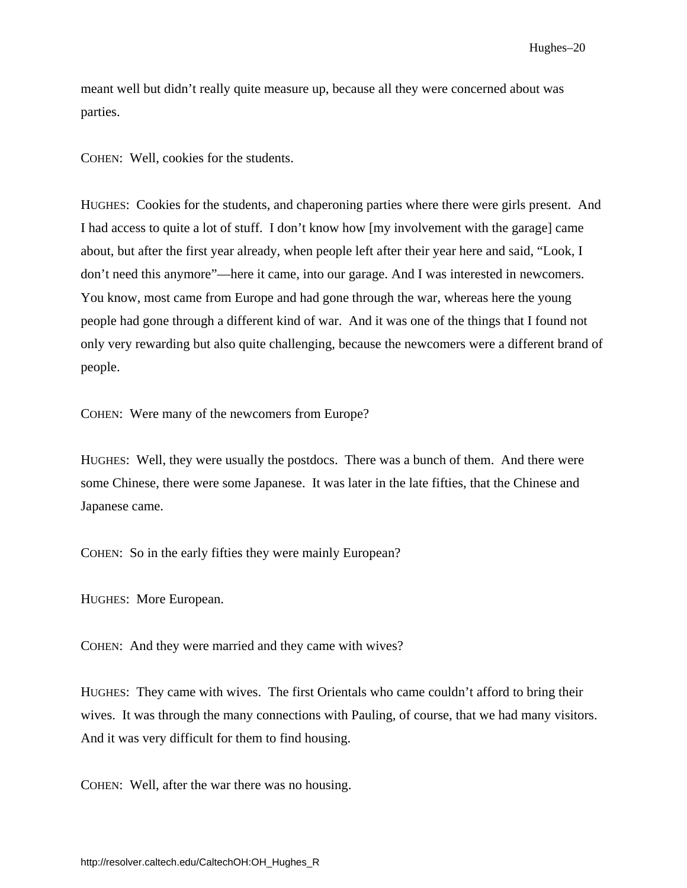Hughes–20

meant well but didn't really quite measure up, because all they were concerned about was parties.

COHEN: Well, cookies for the students.

HUGHES: Cookies for the students, and chaperoning parties where there were girls present. And I had access to quite a lot of stuff. I don't know how [my involvement with the garage] came about, but after the first year already, when people left after their year here and said, "Look, I don't need this anymore"—here it came, into our garage. And I was interested in newcomers. You know, most came from Europe and had gone through the war, whereas here the young people had gone through a different kind of war. And it was one of the things that I found not only very rewarding but also quite challenging, because the newcomers were a different brand of people.

COHEN: Were many of the newcomers from Europe?

HUGHES: Well, they were usually the postdocs. There was a bunch of them. And there were some Chinese, there were some Japanese. It was later in the late fifties, that the Chinese and Japanese came.

COHEN: So in the early fifties they were mainly European?

HUGHES: More European.

COHEN: And they were married and they came with wives?

HUGHES: They came with wives. The first Orientals who came couldn't afford to bring their wives. It was through the many connections with Pauling, of course, that we had many visitors. And it was very difficult for them to find housing.

COHEN: Well, after the war there was no housing.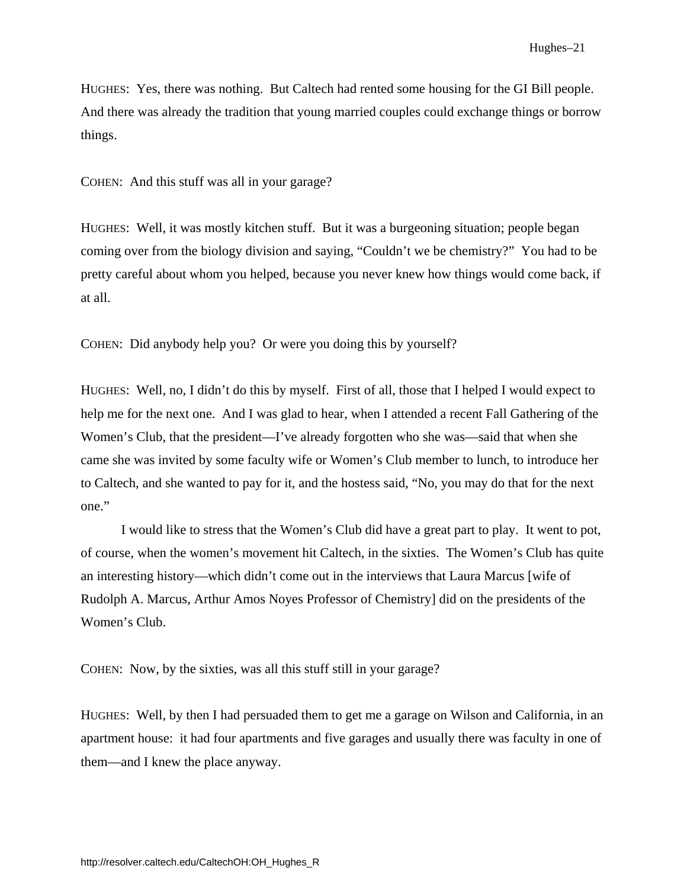HUGHES: Yes, there was nothing. But Caltech had rented some housing for the GI Bill people. And there was already the tradition that young married couples could exchange things or borrow things.

COHEN: And this stuff was all in your garage?

HUGHES: Well, it was mostly kitchen stuff. But it was a burgeoning situation; people began coming over from the biology division and saying, "Couldn't we be chemistry?" You had to be pretty careful about whom you helped, because you never knew how things would come back, if at all.

COHEN: Did anybody help you? Or were you doing this by yourself?

HUGHES: Well, no, I didn't do this by myself. First of all, those that I helped I would expect to help me for the next one. And I was glad to hear, when I attended a recent Fall Gathering of the Women's Club, that the president—I've already forgotten who she was—said that when she came she was invited by some faculty wife or Women's Club member to lunch, to introduce her to Caltech, and she wanted to pay for it, and the hostess said, "No, you may do that for the next one."

I would like to stress that the Women's Club did have a great part to play. It went to pot, of course, when the women's movement hit Caltech, in the sixties. The Women's Club has quite an interesting history—which didn't come out in the interviews that Laura Marcus [wife of Rudolph A. Marcus, Arthur Amos Noyes Professor of Chemistry] did on the presidents of the Women's Club.

COHEN: Now, by the sixties, was all this stuff still in your garage?

HUGHES: Well, by then I had persuaded them to get me a garage on Wilson and California, in an apartment house: it had four apartments and five garages and usually there was faculty in one of them—and I knew the place anyway.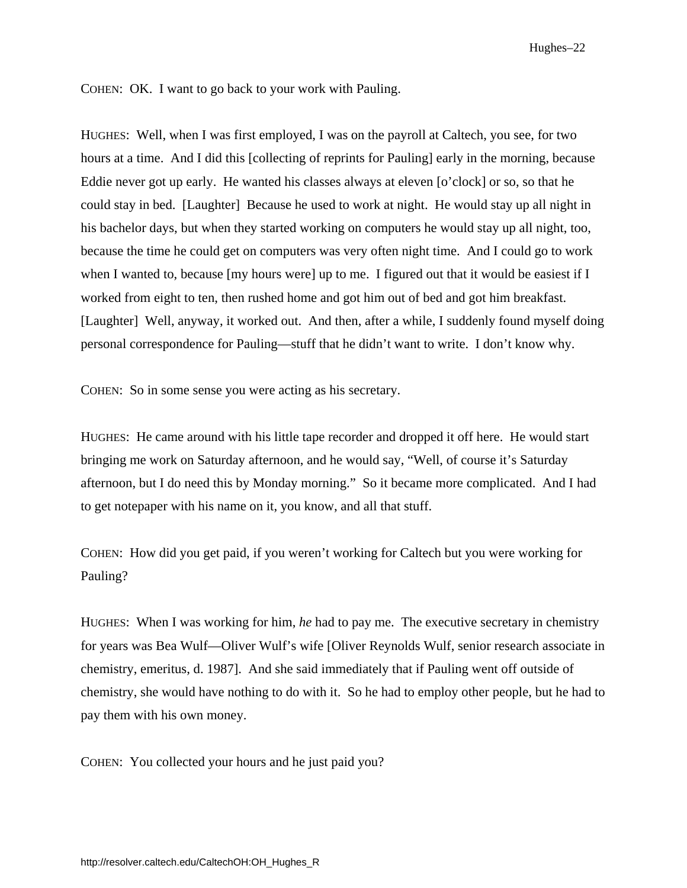COHEN: OK. I want to go back to your work with Pauling.

HUGHES: Well, when I was first employed, I was on the payroll at Caltech, you see, for two hours at a time. And I did this [collecting of reprints for Pauling] early in the morning, because Eddie never got up early. He wanted his classes always at eleven [o'clock] or so, so that he could stay in bed. [Laughter] Because he used to work at night. He would stay up all night in his bachelor days, but when they started working on computers he would stay up all night, too, because the time he could get on computers was very often night time. And I could go to work when I wanted to, because [my hours were] up to me. I figured out that it would be easiest if I worked from eight to ten, then rushed home and got him out of bed and got him breakfast. [Laughter] Well, anyway, it worked out. And then, after a while, I suddenly found myself doing personal correspondence for Pauling—stuff that he didn't want to write. I don't know why.

COHEN: So in some sense you were acting as his secretary.

HUGHES: He came around with his little tape recorder and dropped it off here. He would start bringing me work on Saturday afternoon, and he would say, "Well, of course it's Saturday afternoon, but I do need this by Monday morning." So it became more complicated. And I had to get notepaper with his name on it, you know, and all that stuff.

COHEN: How did you get paid, if you weren't working for Caltech but you were working for Pauling?

HUGHES: When I was working for him, *he* had to pay me. The executive secretary in chemistry for years was Bea Wulf—Oliver Wulf's wife [Oliver Reynolds Wulf, senior research associate in chemistry, emeritus, d. 1987]. And she said immediately that if Pauling went off outside of chemistry, she would have nothing to do with it. So he had to employ other people, but he had to pay them with his own money.

COHEN: You collected your hours and he just paid you?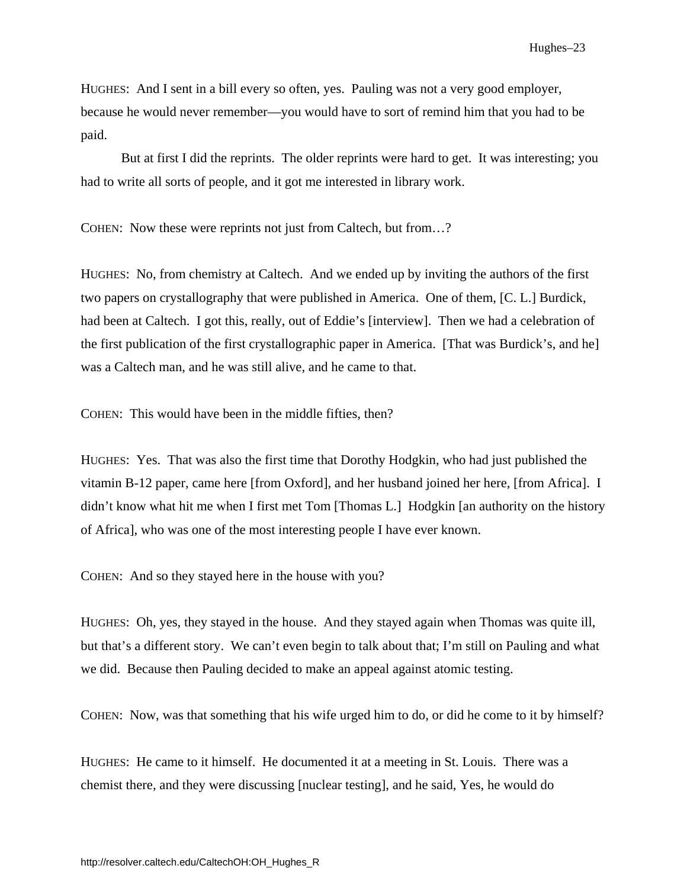<span id="page-28-0"></span>HUGHES: And I sent in a bill every so often, yes. Pauling was not a very good employer, because he would never remember—you would have to sort of remind him that you had to be paid.

But at first I did the reprints. The older reprints were hard to get. It was interesting; you had to write all sorts of people, and it got me interested in library work.

COHEN: Now these were reprints not just from Caltech, but from…?

HUGHES: No, from chemistry at Caltech. And we ended up by inviting the authors of the first two papers on crystallography that were published in America. One of them, [C. L.] Burdick, had been at Caltech. I got this, really, out of Eddie's [interview]. Then we had a celebration of the first publication of the first crystallographic paper in America. [That was Burdick's, and he] was a Caltech man, and he was still alive, and he came to that.

COHEN: This would have been in the middle fifties, then?

HUGHES: Yes. That was also the first time that Dorothy Hodgkin, who had just published the vitamin B-12 paper, came here [from Oxford], and her husband joined her here, [from Africa]. I didn't know what hit me when I first met Tom [Thomas L.] Hodgkin [an authority on the history of Africa], who was one of the most interesting people I have ever known.

COHEN: And so they stayed here in the house with you?

HUGHES: Oh, yes, they stayed in the house. And they stayed again when Thomas was quite ill, but that's a different story. We can't even begin to talk about that; I'm still on Pauling and what we did. Because then Pauling decided to make an appeal against atomic testing.

COHEN: Now, was that something that his wife urged him to do, or did he come to it by himself?

HUGHES: He came to it himself. He documented it at a meeting in St. Louis. There was a chemist there, and they were discussing [nuclear testing], and he said, Yes, he would do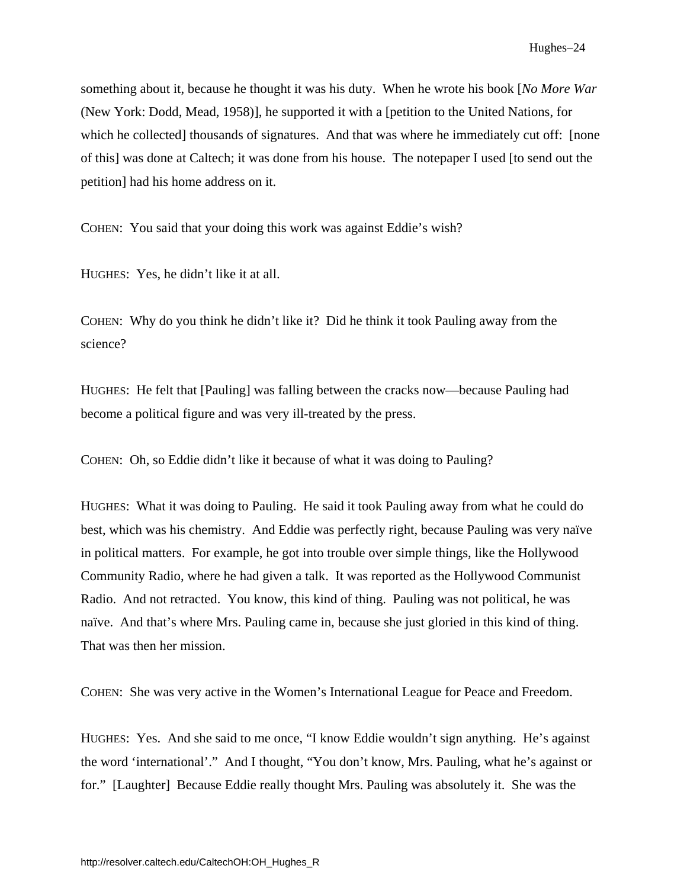something about it, because he thought it was his duty. When he wrote his book [*No More War*  (New York: Dodd, Mead, 1958)], he supported it with a [petition to the United Nations, for which he collected] thousands of signatures. And that was where he immediately cut off: [none of this] was done at Caltech; it was done from his house. The notepaper I used [to send out the petition] had his home address on it.

COHEN: You said that your doing this work was against Eddie's wish?

HUGHES: Yes, he didn't like it at all.

COHEN: Why do you think he didn't like it? Did he think it took Pauling away from the science?

HUGHES: He felt that [Pauling] was falling between the cracks now—because Pauling had become a political figure and was very ill-treated by the press.

COHEN: Oh, so Eddie didn't like it because of what it was doing to Pauling?

HUGHES: What it was doing to Pauling. He said it took Pauling away from what he could do best, which was his chemistry. And Eddie was perfectly right, because Pauling was very naïve in political matters. For example, he got into trouble over simple things, like the Hollywood Community Radio, where he had given a talk. It was reported as the Hollywood Communist Radio. And not retracted. You know, this kind of thing. Pauling was not political, he was naïve. And that's where Mrs. Pauling came in, because she just gloried in this kind of thing. That was then her mission.

COHEN: She was very active in the Women's International League for Peace and Freedom.

HUGHES: Yes. And she said to me once, "I know Eddie wouldn't sign anything. He's against the word 'international'." And I thought, "You don't know, Mrs. Pauling, what he's against or for." [Laughter] Because Eddie really thought Mrs. Pauling was absolutely it. She was the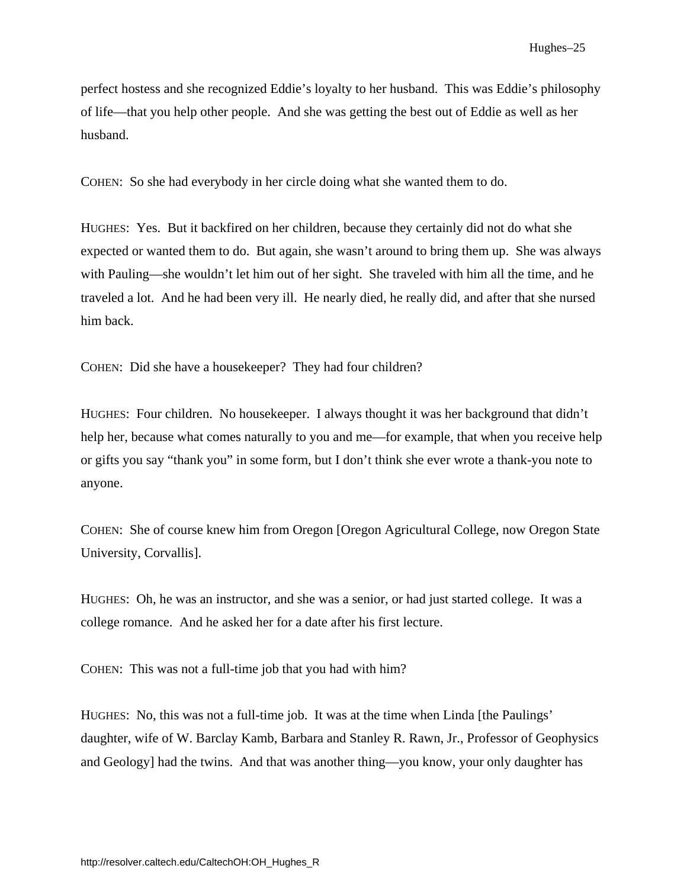perfect hostess and she recognized Eddie's loyalty to her husband. This was Eddie's philosophy of life—that you help other people. And she was getting the best out of Eddie as well as her husband.

COHEN: So she had everybody in her circle doing what she wanted them to do.

HUGHES: Yes. But it backfired on her children, because they certainly did not do what she expected or wanted them to do. But again, she wasn't around to bring them up. She was always with Pauling—she wouldn't let him out of her sight. She traveled with him all the time, and he traveled a lot. And he had been very ill. He nearly died, he really did, and after that she nursed him back.

COHEN: Did she have a housekeeper? They had four children?

HUGHES: Four children. No housekeeper. I always thought it was her background that didn't help her, because what comes naturally to you and me—for example, that when you receive help or gifts you say "thank you" in some form, but I don't think she ever wrote a thank-you note to anyone.

COHEN: She of course knew him from Oregon [Oregon Agricultural College, now Oregon State University, Corvallis].

HUGHES: Oh, he was an instructor, and she was a senior, or had just started college. It was a college romance. And he asked her for a date after his first lecture.

COHEN: This was not a full-time job that you had with him?

HUGHES: No, this was not a full-time job. It was at the time when Linda [the Paulings' daughter, wife of W. Barclay Kamb, Barbara and Stanley R. Rawn, Jr., Professor of Geophysics and Geology] had the twins. And that was another thing—you know, your only daughter has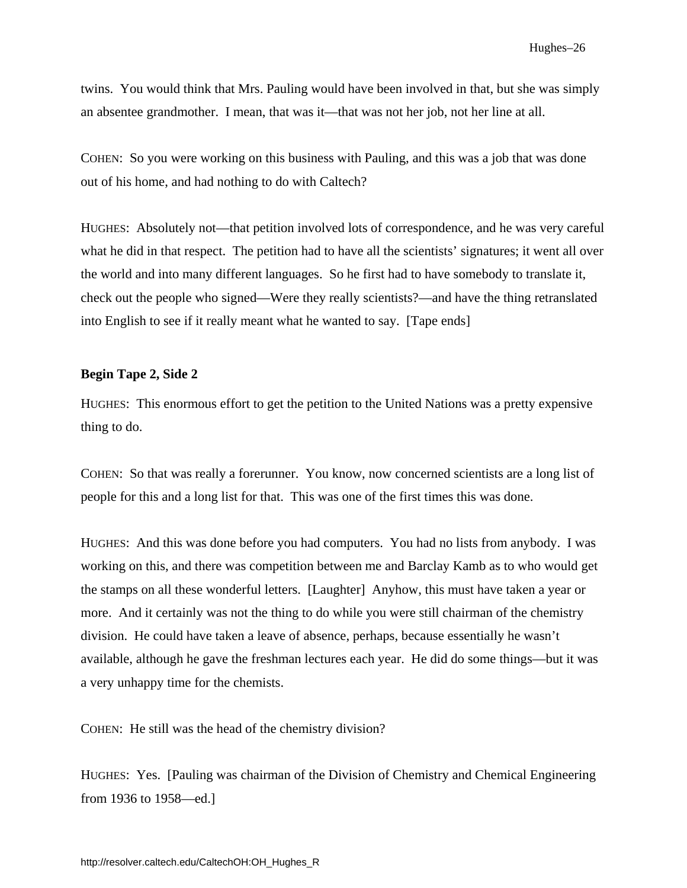twins. You would think that Mrs. Pauling would have been involved in that, but she was simply an absentee grandmother. I mean, that was it—that was not her job, not her line at all.

COHEN: So you were working on this business with Pauling, and this was a job that was done out of his home, and had nothing to do with Caltech?

HUGHES: Absolutely not—that petition involved lots of correspondence, and he was very careful what he did in that respect. The petition had to have all the scientists' signatures; it went all over the world and into many different languages. So he first had to have somebody to translate it, check out the people who signed—Were they really scientists?—and have the thing retranslated into English to see if it really meant what he wanted to say. [Tape ends]

#### **Begin Tape 2, Side 2**

HUGHES: This enormous effort to get the petition to the United Nations was a pretty expensive thing to do.

COHEN: So that was really a forerunner. You know, now concerned scientists are a long list of people for this and a long list for that. This was one of the first times this was done.

HUGHES: And this was done before you had computers. You had no lists from anybody. I was working on this, and there was competition between me and Barclay Kamb as to who would get the stamps on all these wonderful letters. [Laughter] Anyhow, this must have taken a year or more. And it certainly was not the thing to do while you were still chairman of the chemistry division. He could have taken a leave of absence, perhaps, because essentially he wasn't available, although he gave the freshman lectures each year. He did do some things—but it was a very unhappy time for the chemists.

COHEN: He still was the head of the chemistry division?

HUGHES: Yes. [Pauling was chairman of the Division of Chemistry and Chemical Engineering from 1936 to 1958—ed.]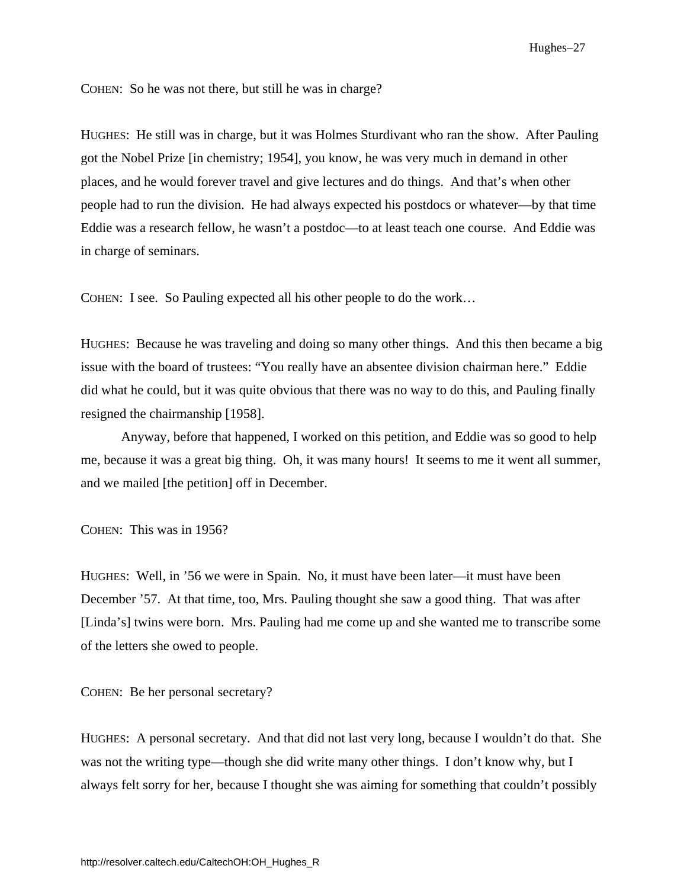Hughes–27

COHEN: So he was not there, but still he was in charge?

HUGHES: He still was in charge, but it was Holmes Sturdivant who ran the show. After Pauling got the Nobel Prize [in chemistry; 1954], you know, he was very much in demand in other places, and he would forever travel and give lectures and do things. And that's when other people had to run the division. He had always expected his postdocs or whatever—by that time Eddie was a research fellow, he wasn't a postdoc—to at least teach one course. And Eddie was in charge of seminars.

COHEN: I see. So Pauling expected all his other people to do the work…

HUGHES: Because he was traveling and doing so many other things. And this then became a big issue with the board of trustees: "You really have an absentee division chairman here." Eddie did what he could, but it was quite obvious that there was no way to do this, and Pauling finally resigned the chairmanship [1958].

Anyway, before that happened, I worked on this petition, and Eddie was so good to help me, because it was a great big thing. Oh, it was many hours! It seems to me it went all summer, and we mailed [the petition] off in December.

COHEN: This was in 1956?

HUGHES: Well, in '56 we were in Spain. No, it must have been later—it must have been December '57. At that time, too, Mrs. Pauling thought she saw a good thing. That was after [Linda's] twins were born. Mrs. Pauling had me come up and she wanted me to transcribe some of the letters she owed to people.

COHEN: Be her personal secretary?

HUGHES: A personal secretary. And that did not last very long, because I wouldn't do that. She was not the writing type—though she did write many other things. I don't know why, but I always felt sorry for her, because I thought she was aiming for something that couldn't possibly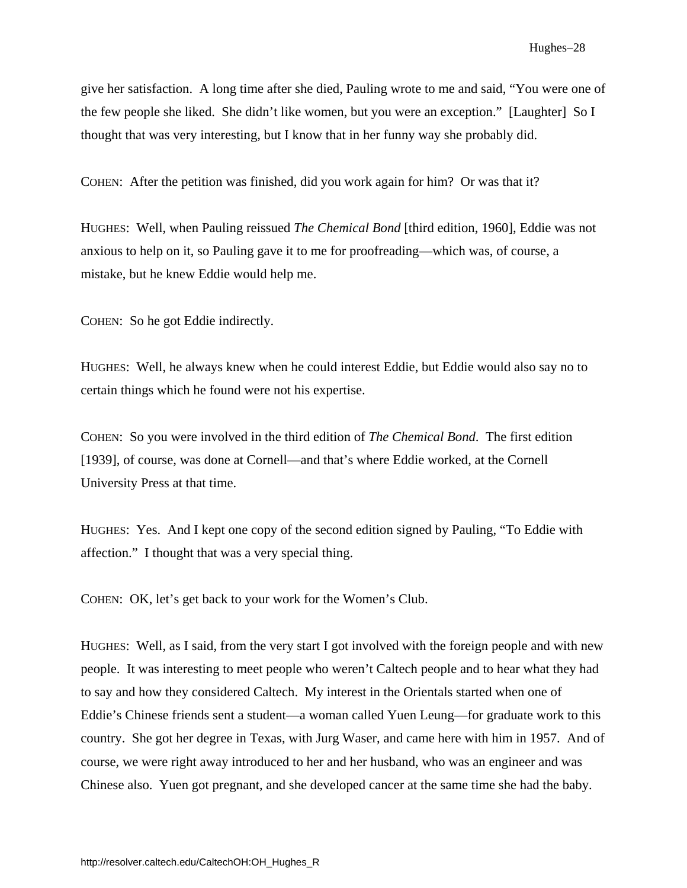<span id="page-33-0"></span>give her satisfaction. A long time after she died, Pauling wrote to me and said, "You were one of the few people she liked. She didn't like women, but you were an exception." [Laughter] So I thought that was very interesting, but I know that in her funny way she probably did.

COHEN: After the petition was finished, did you work again for him? Or was that it?

HUGHES: Well, when Pauling reissued *The Chemical Bond* [third edition, 1960], Eddie was not anxious to help on it, so Pauling gave it to me for proofreading—which was, of course, a mistake, but he knew Eddie would help me.

COHEN: So he got Eddie indirectly.

HUGHES: Well, he always knew when he could interest Eddie, but Eddie would also say no to certain things which he found were not his expertise.

COHEN: So you were involved in the third edition of *The Chemical Bond*. The first edition [1939], of course, was done at Cornell—and that's where Eddie worked, at the Cornell University Press at that time.

HUGHES: Yes. And I kept one copy of the second edition signed by Pauling, "To Eddie with affection." I thought that was a very special thing.

COHEN: OK, let's get back to your work for the Women's Club.

HUGHES: Well, as I said, from the very start I got involved with the foreign people and with new people. It was interesting to meet people who weren't Caltech people and to hear what they had to say and how they considered Caltech. My interest in the Orientals started when one of Eddie's Chinese friends sent a student—a woman called Yuen Leung—for graduate work to this country. She got her degree in Texas, with Jurg Waser, and came here with him in 1957. And of course, we were right away introduced to her and her husband, who was an engineer and was Chinese also. Yuen got pregnant, and she developed cancer at the same time she had the baby.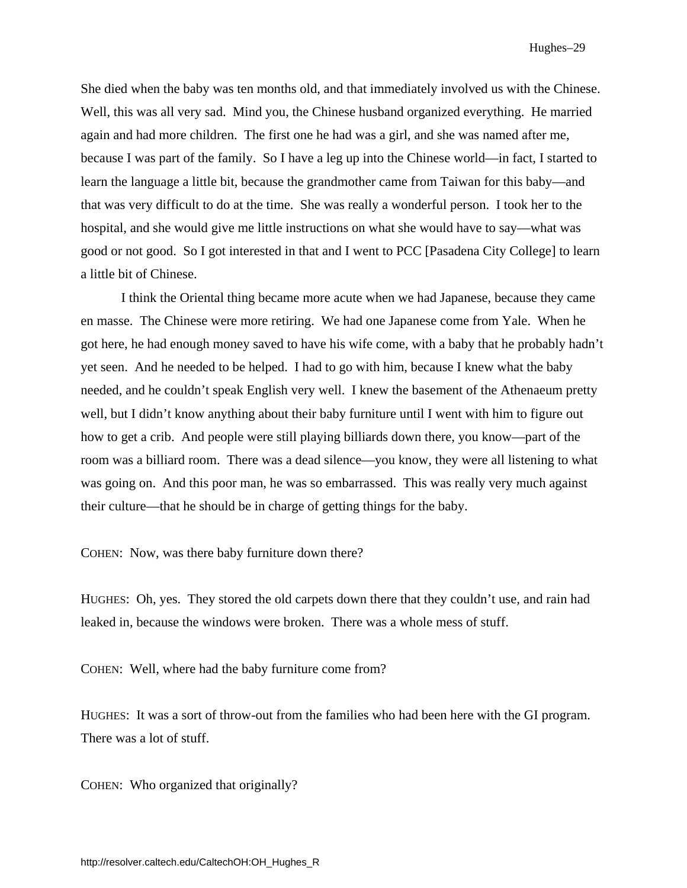She died when the baby was ten months old, and that immediately involved us with the Chinese. Well, this was all very sad. Mind you, the Chinese husband organized everything. He married again and had more children. The first one he had was a girl, and she was named after me, because I was part of the family. So I have a leg up into the Chinese world—in fact, I started to learn the language a little bit, because the grandmother came from Taiwan for this baby—and that was very difficult to do at the time. She was really a wonderful person. I took her to the hospital, and she would give me little instructions on what she would have to say—what was good or not good. So I got interested in that and I went to PCC [Pasadena City College] to learn a little bit of Chinese.

I think the Oriental thing became more acute when we had Japanese, because they came en masse. The Chinese were more retiring. We had one Japanese come from Yale. When he got here, he had enough money saved to have his wife come, with a baby that he probably hadn't yet seen. And he needed to be helped. I had to go with him, because I knew what the baby needed, and he couldn't speak English very well. I knew the basement of the Athenaeum pretty well, but I didn't know anything about their baby furniture until I went with him to figure out how to get a crib. And people were still playing billiards down there, you know—part of the room was a billiard room. There was a dead silence—you know, they were all listening to what was going on. And this poor man, he was so embarrassed. This was really very much against their culture—that he should be in charge of getting things for the baby.

COHEN: Now, was there baby furniture down there?

HUGHES: Oh, yes. They stored the old carpets down there that they couldn't use, and rain had leaked in, because the windows were broken. There was a whole mess of stuff.

COHEN: Well, where had the baby furniture come from?

HUGHES: It was a sort of throw-out from the families who had been here with the GI program. There was a lot of stuff.

COHEN: Who organized that originally?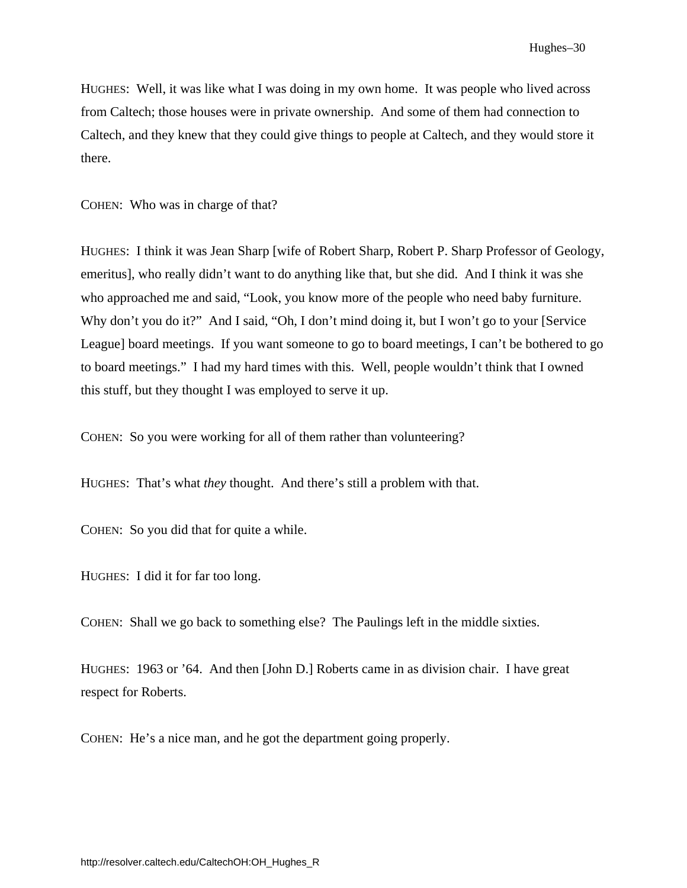HUGHES: Well, it was like what I was doing in my own home. It was people who lived across from Caltech; those houses were in private ownership. And some of them had connection to Caltech, and they knew that they could give things to people at Caltech, and they would store it there.

COHEN: Who was in charge of that?

HUGHES: I think it was Jean Sharp [wife of Robert Sharp, Robert P. Sharp Professor of Geology, emeritus], who really didn't want to do anything like that, but she did. And I think it was she who approached me and said, "Look, you know more of the people who need baby furniture. Why don't you do it?" And I said, "Oh, I don't mind doing it, but I won't go to your [Service] League] board meetings. If you want someone to go to board meetings, I can't be bothered to go to board meetings." I had my hard times with this. Well, people wouldn't think that I owned this stuff, but they thought I was employed to serve it up.

COHEN: So you were working for all of them rather than volunteering?

HUGHES: That's what *they* thought. And there's still a problem with that.

COHEN: So you did that for quite a while.

HUGHES: I did it for far too long.

COHEN: Shall we go back to something else? The Paulings left in the middle sixties.

HUGHES: 1963 or '64. And then [John D.] Roberts came in as division chair. I have great respect for Roberts.

COHEN: He's a nice man, and he got the department going properly.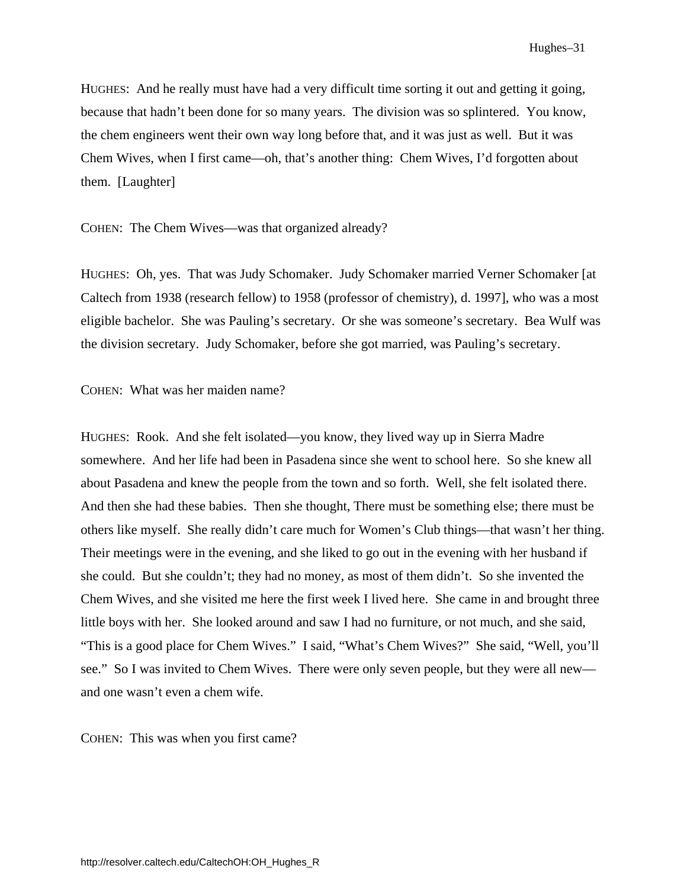HUGHES: And he really must have had a very difficult time sorting it out and getting it going, because that hadn't been done for so many years. The division was so splintered. You know, the chem engineers went their own way long before that, and it was just as well. But it was Chem Wives, when I first came—oh, that's another thing: Chem Wives, I'd forgotten about them. [Laughter]

COHEN: The Chem Wives—was that organized already?

HUGHES: Oh, yes. That was Judy Schomaker. Judy Schomaker married Verner Schomaker [at Caltech from 1938 (research fellow) to 1958 (professor of chemistry), d. 1997], who was a most eligible bachelor. She was Pauling's secretary. Or she was someone's secretary. Bea Wulf was the division secretary. Judy Schomaker, before she got married, was Pauling's secretary.

COHEN: What was her maiden name?

HUGHES: Rook. And she felt isolated—you know, they lived way up in Sierra Madre somewhere. And her life had been in Pasadena since she went to school here. So she knew all about Pasadena and knew the people from the town and so forth. Well, she felt isolated there. And then she had these babies. Then she thought, There must be something else; there must be others like myself. She really didn't care much for Women's Club things—that wasn't her thing. Their meetings were in the evening, and she liked to go out in the evening with her husband if she could. But she couldn't; they had no money, as most of them didn't. So she invented the Chem Wives, and she visited me here the first week I lived here. She came in and brought three little boys with her. She looked around and saw I had no furniture, or not much, and she said, "This is a good place for Chem Wives." I said, "What's Chem Wives?" She said, "Well, you'll see." So I was invited to Chem Wives. There were only seven people, but they were all new and one wasn't even a chem wife.

COHEN: This was when you first came?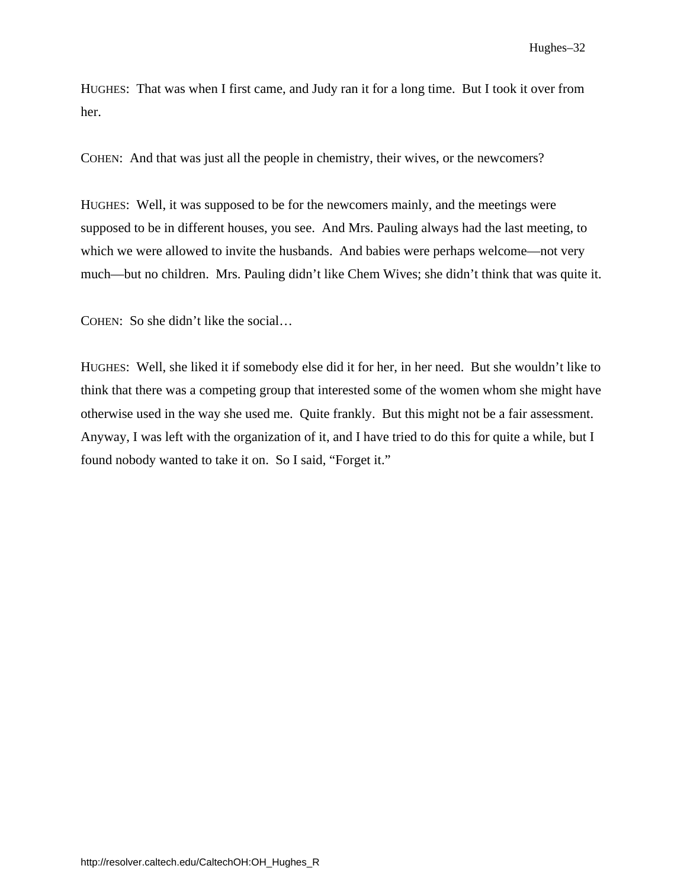Hughes–32

HUGHES: That was when I first came, and Judy ran it for a long time. But I took it over from her.

COHEN: And that was just all the people in chemistry, their wives, or the newcomers?

HUGHES: Well, it was supposed to be for the newcomers mainly, and the meetings were supposed to be in different houses, you see. And Mrs. Pauling always had the last meeting, to which we were allowed to invite the husbands. And babies were perhaps welcome—not very much—but no children. Mrs. Pauling didn't like Chem Wives; she didn't think that was quite it.

COHEN: So she didn't like the social…

HUGHES: Well, she liked it if somebody else did it for her, in her need. But she wouldn't like to think that there was a competing group that interested some of the women whom she might have otherwise used in the way she used me. Quite frankly. But this might not be a fair assessment. Anyway, I was left with the organization of it, and I have tried to do this for quite a while, but I found nobody wanted to take it on. So I said, "Forget it."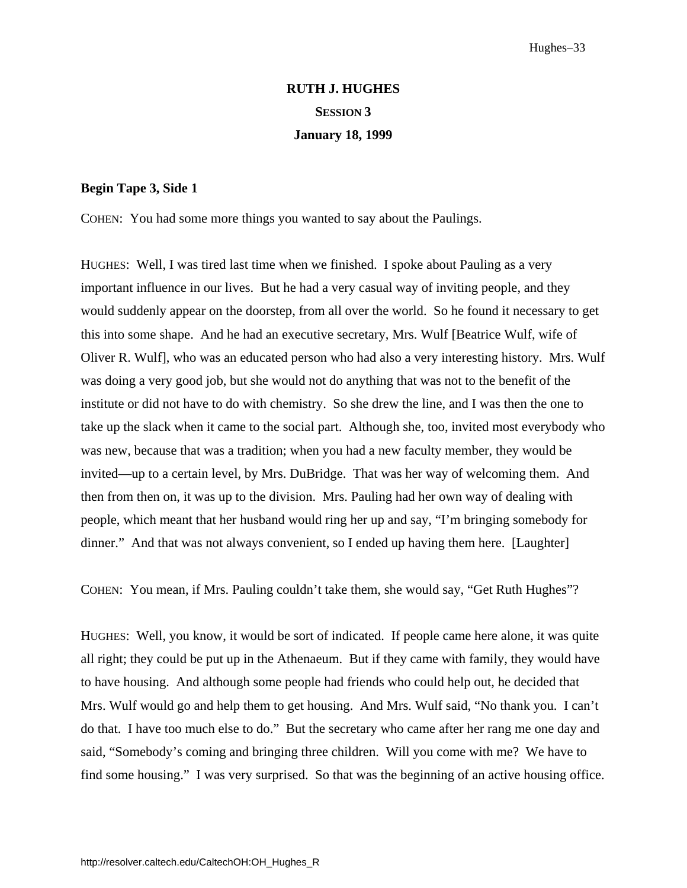# **RUTH J. HUGHES SESSION 3 January 18, 1999**

#### <span id="page-38-0"></span>**Begin Tape 3, Side 1**

COHEN: You had some more things you wanted to say about the Paulings.

HUGHES: Well, I was tired last time when we finished. I spoke about Pauling as a very important influence in our lives. But he had a very casual way of inviting people, and they would suddenly appear on the doorstep, from all over the world. So he found it necessary to get this into some shape. And he had an executive secretary, Mrs. Wulf [Beatrice Wulf, wife of Oliver R. Wulf], who was an educated person who had also a very interesting history. Mrs. Wulf was doing a very good job, but she would not do anything that was not to the benefit of the institute or did not have to do with chemistry. So she drew the line, and I was then the one to take up the slack when it came to the social part. Although she, too, invited most everybody who was new, because that was a tradition; when you had a new faculty member, they would be invited—up to a certain level, by Mrs. DuBridge. That was her way of welcoming them. And then from then on, it was up to the division. Mrs. Pauling had her own way of dealing with people, which meant that her husband would ring her up and say, "I'm bringing somebody for dinner." And that was not always convenient, so I ended up having them here. [Laughter]

COHEN: You mean, if Mrs. Pauling couldn't take them, she would say, "Get Ruth Hughes"?

HUGHES: Well, you know, it would be sort of indicated. If people came here alone, it was quite all right; they could be put up in the Athenaeum. But if they came with family, they would have to have housing. And although some people had friends who could help out, he decided that Mrs. Wulf would go and help them to get housing. And Mrs. Wulf said, "No thank you. I can't do that. I have too much else to do." But the secretary who came after her rang me one day and said, "Somebody's coming and bringing three children. Will you come with me? We have to find some housing." I was very surprised. So that was the beginning of an active housing office.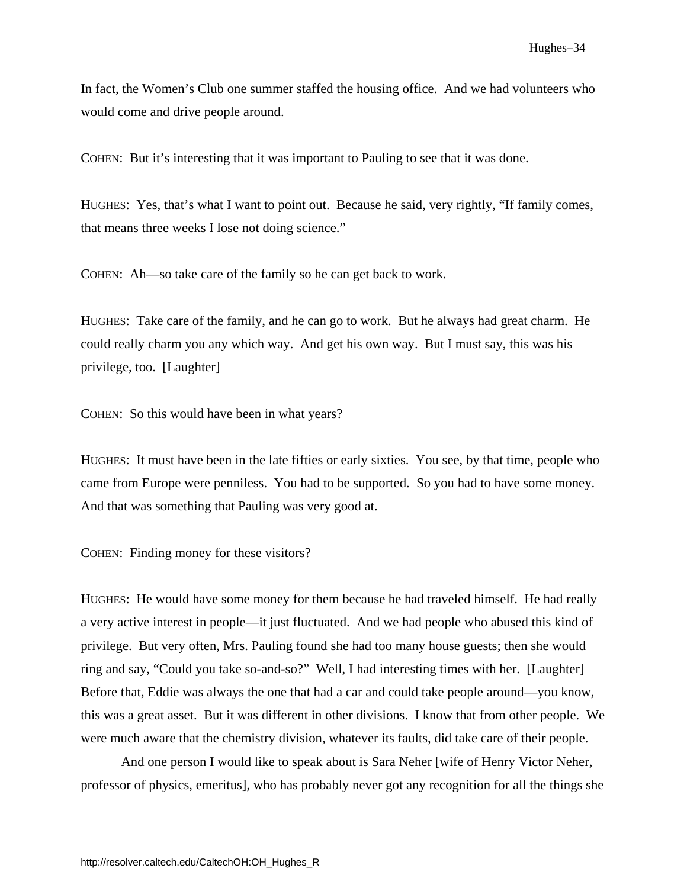In fact, the Women's Club one summer staffed the housing office. And we had volunteers who would come and drive people around.

COHEN: But it's interesting that it was important to Pauling to see that it was done.

HUGHES: Yes, that's what I want to point out. Because he said, very rightly, "If family comes, that means three weeks I lose not doing science."

COHEN: Ah—so take care of the family so he can get back to work.

HUGHES: Take care of the family, and he can go to work. But he always had great charm. He could really charm you any which way. And get his own way. But I must say, this was his privilege, too. [Laughter]

COHEN: So this would have been in what years?

HUGHES: It must have been in the late fifties or early sixties. You see, by that time, people who came from Europe were penniless. You had to be supported. So you had to have some money. And that was something that Pauling was very good at.

COHEN: Finding money for these visitors?

HUGHES: He would have some money for them because he had traveled himself. He had really a very active interest in people—it just fluctuated. And we had people who abused this kind of privilege. But very often, Mrs. Pauling found she had too many house guests; then she would ring and say, "Could you take so-and-so?" Well, I had interesting times with her. [Laughter] Before that, Eddie was always the one that had a car and could take people around—you know, this was a great asset. But it was different in other divisions. I know that from other people. We were much aware that the chemistry division, whatever its faults, did take care of their people.

 And one person I would like to speak about is Sara Neher [wife of Henry Victor Neher, professor of physics, emeritus], who has probably never got any recognition for all the things she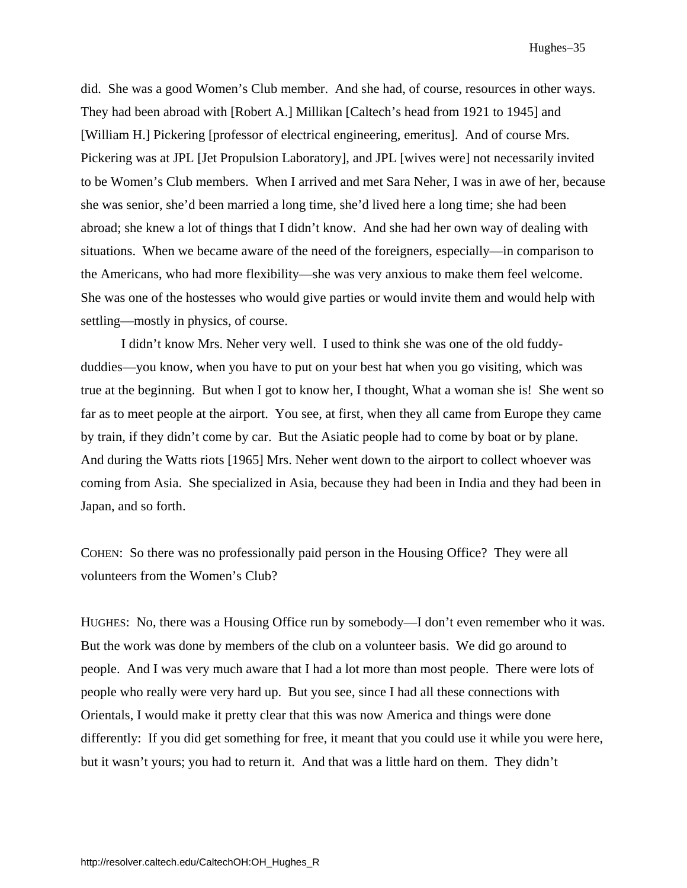did. She was a good Women's Club member. And she had, of course, resources in other ways. They had been abroad with [Robert A.] Millikan [Caltech's head from 1921 to 1945] and [William H.] Pickering [professor of electrical engineering, emeritus]. And of course Mrs. Pickering was at JPL [Jet Propulsion Laboratory], and JPL [wives were] not necessarily invited to be Women's Club members. When I arrived and met Sara Neher, I was in awe of her, because she was senior, she'd been married a long time, she'd lived here a long time; she had been abroad; she knew a lot of things that I didn't know. And she had her own way of dealing with situations. When we became aware of the need of the foreigners, especially—in comparison to the Americans, who had more flexibility—she was very anxious to make them feel welcome. She was one of the hostesses who would give parties or would invite them and would help with settling—mostly in physics, of course.

 I didn't know Mrs. Neher very well. I used to think she was one of the old fuddyduddies—you know, when you have to put on your best hat when you go visiting, which was true at the beginning. But when I got to know her, I thought, What a woman she is! She went so far as to meet people at the airport. You see, at first, when they all came from Europe they came by train, if they didn't come by car. But the Asiatic people had to come by boat or by plane. And during the Watts riots [1965] Mrs. Neher went down to the airport to collect whoever was coming from Asia. She specialized in Asia, because they had been in India and they had been in Japan, and so forth.

COHEN: So there was no professionally paid person in the Housing Office? They were all volunteers from the Women's Club?

HUGHES: No, there was a Housing Office run by somebody—I don't even remember who it was. But the work was done by members of the club on a volunteer basis. We did go around to people. And I was very much aware that I had a lot more than most people. There were lots of people who really were very hard up. But you see, since I had all these connections with Orientals, I would make it pretty clear that this was now America and things were done differently: If you did get something for free, it meant that you could use it while you were here, but it wasn't yours; you had to return it. And that was a little hard on them. They didn't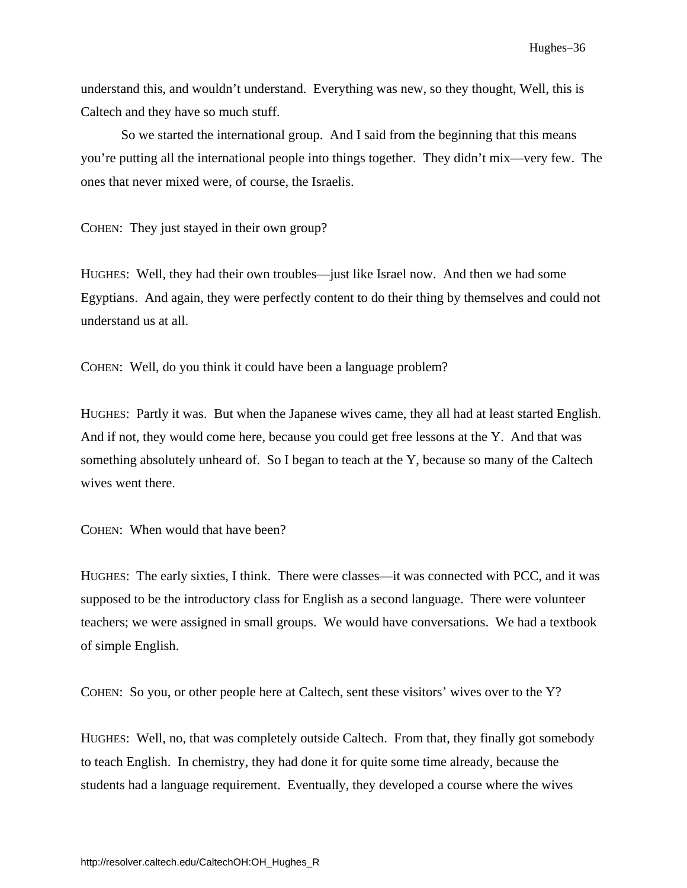understand this, and wouldn't understand. Everything was new, so they thought, Well, this is Caltech and they have so much stuff.

So we started the international group. And I said from the beginning that this means you're putting all the international people into things together. They didn't mix—very few. The ones that never mixed were, of course, the Israelis.

COHEN: They just stayed in their own group?

HUGHES: Well, they had their own troubles—just like Israel now. And then we had some Egyptians. And again, they were perfectly content to do their thing by themselves and could not understand us at all.

COHEN: Well, do you think it could have been a language problem?

HUGHES: Partly it was. But when the Japanese wives came, they all had at least started English. And if not, they would come here, because you could get free lessons at the Y. And that was something absolutely unheard of. So I began to teach at the Y, because so many of the Caltech wives went there.

COHEN: When would that have been?

HUGHES: The early sixties, I think. There were classes—it was connected with PCC, and it was supposed to be the introductory class for English as a second language. There were volunteer teachers; we were assigned in small groups. We would have conversations. We had a textbook of simple English.

COHEN: So you, or other people here at Caltech, sent these visitors' wives over to the Y?

HUGHES: Well, no, that was completely outside Caltech. From that, they finally got somebody to teach English. In chemistry, they had done it for quite some time already, because the students had a language requirement. Eventually, they developed a course where the wives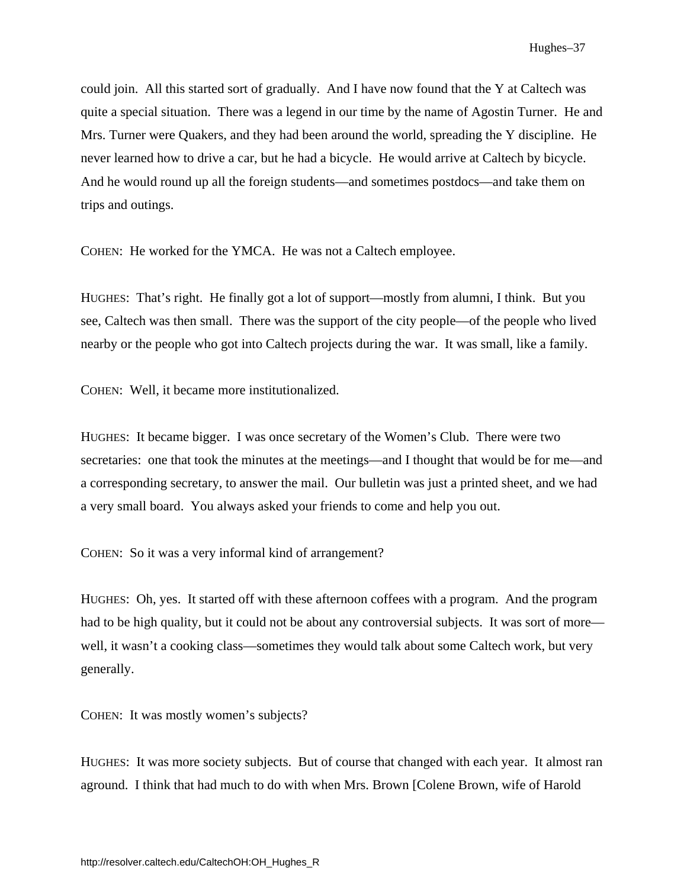could join. All this started sort of gradually. And I have now found that the Y at Caltech was quite a special situation. There was a legend in our time by the name of Agostin Turner. He and Mrs. Turner were Quakers, and they had been around the world, spreading the Y discipline. He never learned how to drive a car, but he had a bicycle. He would arrive at Caltech by bicycle. And he would round up all the foreign students—and sometimes postdocs—and take them on trips and outings.

COHEN: He worked for the YMCA. He was not a Caltech employee.

HUGHES: That's right. He finally got a lot of support—mostly from alumni, I think. But you see, Caltech was then small. There was the support of the city people—of the people who lived nearby or the people who got into Caltech projects during the war. It was small, like a family.

COHEN: Well, it became more institutionalized.

HUGHES: It became bigger. I was once secretary of the Women's Club. There were two secretaries: one that took the minutes at the meetings—and I thought that would be for me—and a corresponding secretary, to answer the mail. Our bulletin was just a printed sheet, and we had a very small board. You always asked your friends to come and help you out.

COHEN: So it was a very informal kind of arrangement?

HUGHES: Oh, yes. It started off with these afternoon coffees with a program. And the program had to be high quality, but it could not be about any controversial subjects. It was sort of more well, it wasn't a cooking class—sometimes they would talk about some Caltech work, but very generally.

COHEN: It was mostly women's subjects?

HUGHES: It was more society subjects. But of course that changed with each year. It almost ran aground. I think that had much to do with when Mrs. Brown [Colene Brown, wife of Harold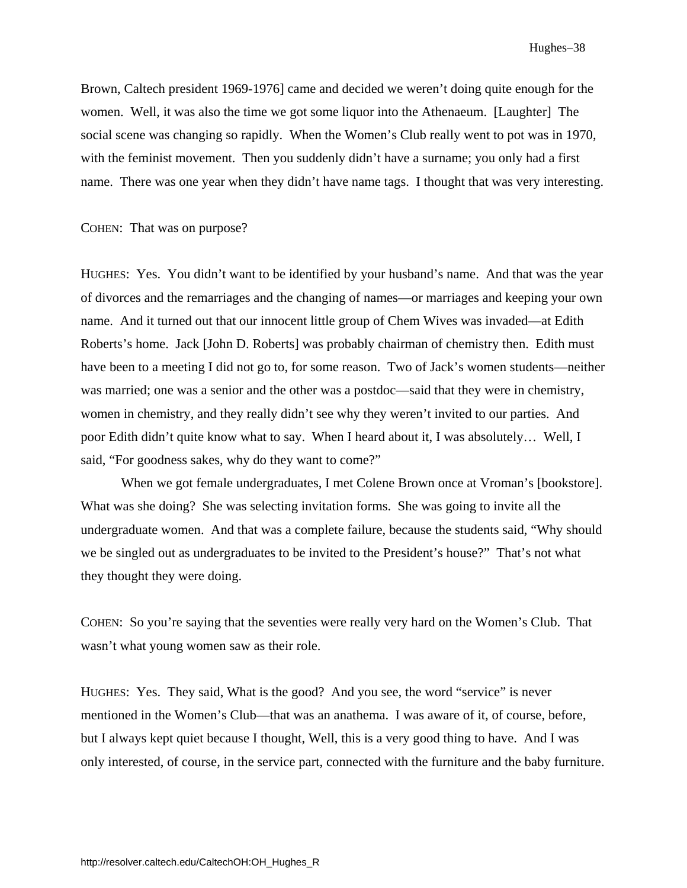Brown, Caltech president 1969-1976] came and decided we weren't doing quite enough for the women. Well, it was also the time we got some liquor into the Athenaeum. [Laughter] The social scene was changing so rapidly. When the Women's Club really went to pot was in 1970, with the feminist movement. Then you suddenly didn't have a surname; you only had a first name. There was one year when they didn't have name tags. I thought that was very interesting.

#### COHEN: That was on purpose?

HUGHES: Yes. You didn't want to be identified by your husband's name. And that was the year of divorces and the remarriages and the changing of names—or marriages and keeping your own name. And it turned out that our innocent little group of Chem Wives was invaded—at Edith Roberts's home. Jack [John D. Roberts] was probably chairman of chemistry then. Edith must have been to a meeting I did not go to, for some reason. Two of Jack's women students—neither was married; one was a senior and the other was a postdoc—said that they were in chemistry, women in chemistry, and they really didn't see why they weren't invited to our parties. And poor Edith didn't quite know what to say. When I heard about it, I was absolutely… Well, I said, "For goodness sakes, why do they want to come?"

When we got female undergraduates, I met Colene Brown once at Vroman's [bookstore]. What was she doing? She was selecting invitation forms. She was going to invite all the undergraduate women. And that was a complete failure, because the students said, "Why should we be singled out as undergraduates to be invited to the President's house?" That's not what they thought they were doing.

COHEN: So you're saying that the seventies were really very hard on the Women's Club. That wasn't what young women saw as their role.

HUGHES: Yes. They said, What is the good? And you see, the word "service" is never mentioned in the Women's Club—that was an anathema. I was aware of it, of course, before, but I always kept quiet because I thought, Well, this is a very good thing to have. And I was only interested, of course, in the service part, connected with the furniture and the baby furniture.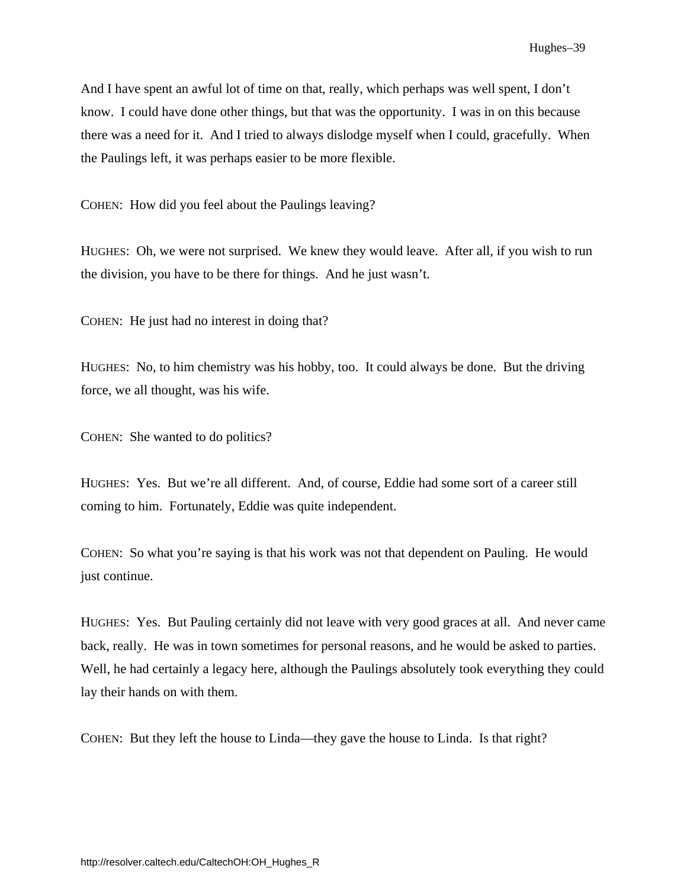<span id="page-44-0"></span>And I have spent an awful lot of time on that, really, which perhaps was well spent, I don't know. I could have done other things, but that was the opportunity. I was in on this because there was a need for it. And I tried to always dislodge myself when I could, gracefully. When the Paulings left, it was perhaps easier to be more flexible.

COHEN: How did you feel about the Paulings leaving?

HUGHES: Oh, we were not surprised. We knew they would leave. After all, if you wish to run the division, you have to be there for things. And he just wasn't.

COHEN: He just had no interest in doing that?

HUGHES: No, to him chemistry was his hobby, too. It could always be done. But the driving force, we all thought, was his wife.

COHEN: She wanted to do politics?

HUGHES: Yes. But we're all different. And, of course, Eddie had some sort of a career still coming to him. Fortunately, Eddie was quite independent.

COHEN: So what you're saying is that his work was not that dependent on Pauling. He would just continue.

HUGHES: Yes. But Pauling certainly did not leave with very good graces at all. And never came back, really. He was in town sometimes for personal reasons, and he would be asked to parties. Well, he had certainly a legacy here, although the Paulings absolutely took everything they could lay their hands on with them.

COHEN: But they left the house to Linda—they gave the house to Linda. Is that right?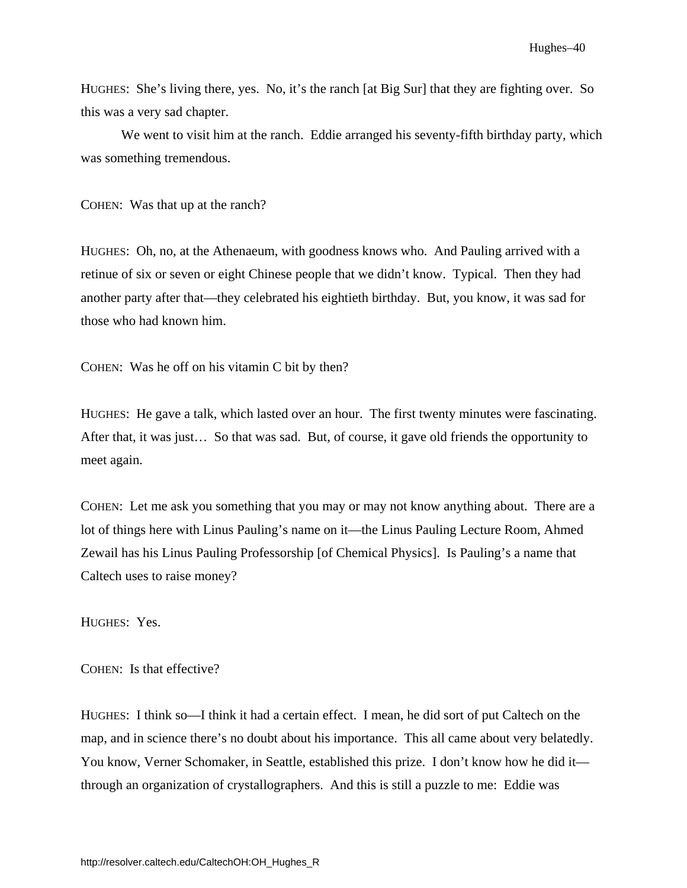HUGHES: She's living there, yes. No, it's the ranch [at Big Sur] that they are fighting over. So this was a very sad chapter.

We went to visit him at the ranch. Eddie arranged his seventy-fifth birthday party, which was something tremendous.

COHEN: Was that up at the ranch?

HUGHES: Oh, no, at the Athenaeum, with goodness knows who. And Pauling arrived with a retinue of six or seven or eight Chinese people that we didn't know. Typical. Then they had another party after that—they celebrated his eightieth birthday. But, you know, it was sad for those who had known him.

COHEN: Was he off on his vitamin C bit by then?

HUGHES: He gave a talk, which lasted over an hour. The first twenty minutes were fascinating. After that, it was just… So that was sad. But, of course, it gave old friends the opportunity to meet again.

COHEN: Let me ask you something that you may or may not know anything about. There are a lot of things here with Linus Pauling's name on it—the Linus Pauling Lecture Room, Ahmed Zewail has his Linus Pauling Professorship [of Chemical Physics]. Is Pauling's a name that Caltech uses to raise money?

HUGHES: Yes.

COHEN: Is that effective?

HUGHES: I think so—I think it had a certain effect. I mean, he did sort of put Caltech on the map, and in science there's no doubt about his importance. This all came about very belatedly. You know, Verner Schomaker, in Seattle, established this prize. I don't know how he did it through an organization of crystallographers. And this is still a puzzle to me: Eddie was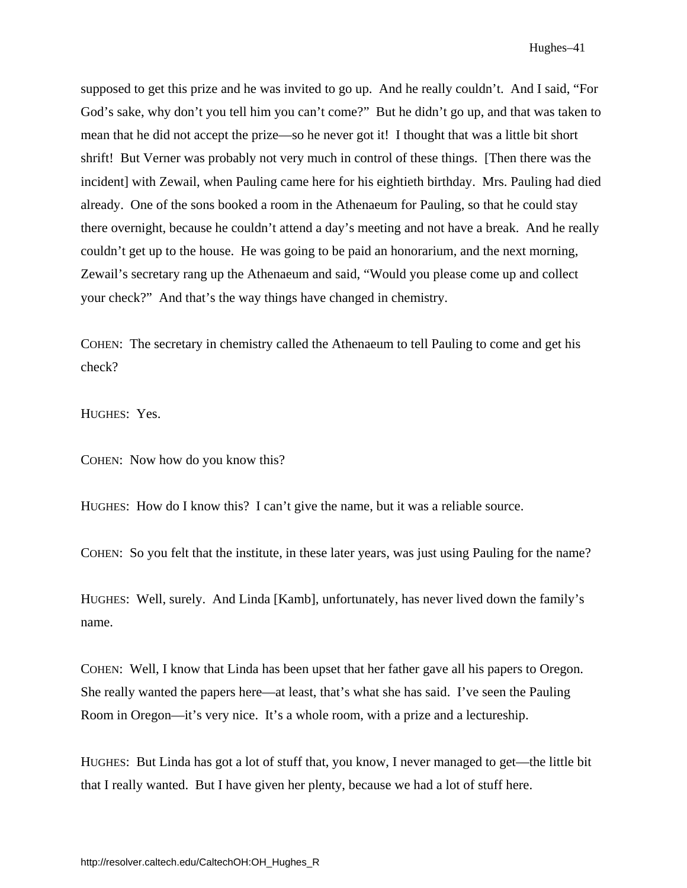supposed to get this prize and he was invited to go up. And he really couldn't. And I said, "For God's sake, why don't you tell him you can't come?" But he didn't go up, and that was taken to mean that he did not accept the prize—so he never got it! I thought that was a little bit short shrift! But Verner was probably not very much in control of these things. [Then there was the incident] with Zewail, when Pauling came here for his eightieth birthday. Mrs. Pauling had died already. One of the sons booked a room in the Athenaeum for Pauling, so that he could stay there overnight, because he couldn't attend a day's meeting and not have a break. And he really couldn't get up to the house. He was going to be paid an honorarium, and the next morning, Zewail's secretary rang up the Athenaeum and said, "Would you please come up and collect your check?" And that's the way things have changed in chemistry.

COHEN: The secretary in chemistry called the Athenaeum to tell Pauling to come and get his check?

HUGHES: Yes.

COHEN: Now how do you know this?

HUGHES: How do I know this? I can't give the name, but it was a reliable source.

COHEN: So you felt that the institute, in these later years, was just using Pauling for the name?

HUGHES: Well, surely. And Linda [Kamb], unfortunately, has never lived down the family's name.

COHEN: Well, I know that Linda has been upset that her father gave all his papers to Oregon. She really wanted the papers here—at least, that's what she has said. I've seen the Pauling Room in Oregon—it's very nice. It's a whole room, with a prize and a lectureship.

HUGHES: But Linda has got a lot of stuff that, you know, I never managed to get—the little bit that I really wanted. But I have given her plenty, because we had a lot of stuff here.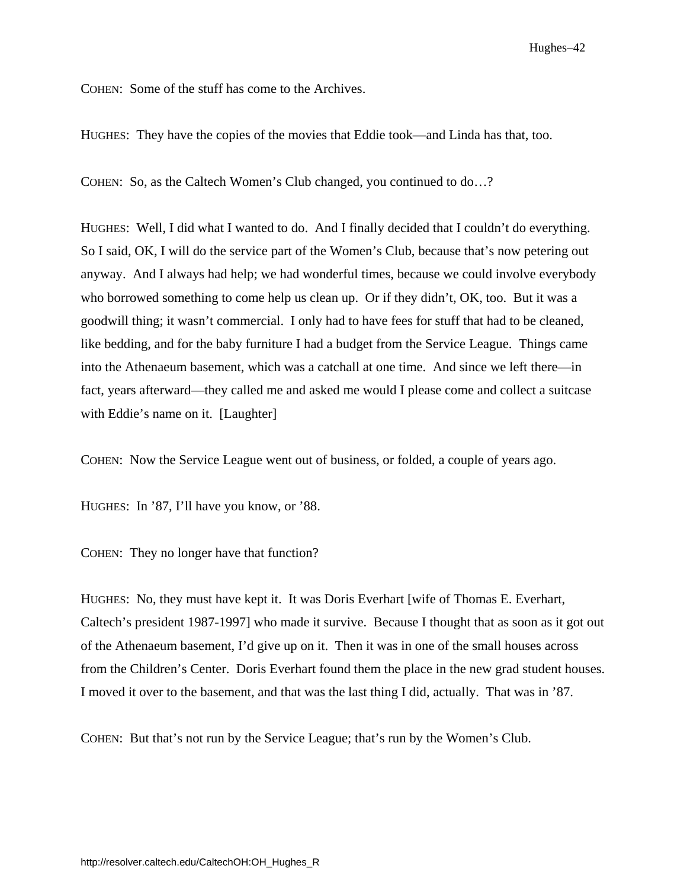Hughes–42

COHEN: Some of the stuff has come to the Archives.

HUGHES: They have the copies of the movies that Eddie took—and Linda has that, too.

COHEN: So, as the Caltech Women's Club changed, you continued to do…?

HUGHES: Well, I did what I wanted to do. And I finally decided that I couldn't do everything. So I said, OK, I will do the service part of the Women's Club, because that's now petering out anyway. And I always had help; we had wonderful times, because we could involve everybody who borrowed something to come help us clean up. Or if they didn't, OK, too. But it was a goodwill thing; it wasn't commercial. I only had to have fees for stuff that had to be cleaned, like bedding, and for the baby furniture I had a budget from the Service League. Things came into the Athenaeum basement, which was a catchall at one time. And since we left there—in fact, years afterward—they called me and asked me would I please come and collect a suitcase with Eddie's name on it. [Laughter]

COHEN: Now the Service League went out of business, or folded, a couple of years ago.

HUGHES: In '87, I'll have you know, or '88.

COHEN: They no longer have that function?

HUGHES: No, they must have kept it. It was Doris Everhart [wife of Thomas E. Everhart, Caltech's president 1987-1997] who made it survive. Because I thought that as soon as it got out of the Athenaeum basement, I'd give up on it. Then it was in one of the small houses across from the Children's Center. Doris Everhart found them the place in the new grad student houses. I moved it over to the basement, and that was the last thing I did, actually. That was in '87.

COHEN: But that's not run by the Service League; that's run by the Women's Club.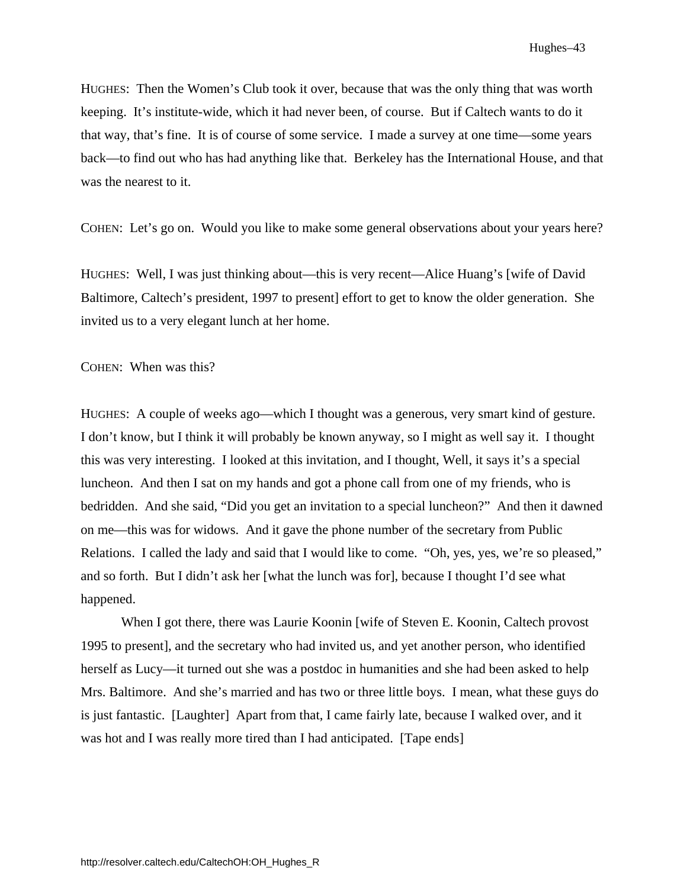HUGHES: Then the Women's Club took it over, because that was the only thing that was worth keeping. It's institute-wide, which it had never been, of course. But if Caltech wants to do it that way, that's fine. It is of course of some service. I made a survey at one time—some years back—to find out who has had anything like that. Berkeley has the International House, and that was the nearest to it.

COHEN: Let's go on. Would you like to make some general observations about your years here?

HUGHES: Well, I was just thinking about—this is very recent—Alice Huang's [wife of David Baltimore, Caltech's president, 1997 to present] effort to get to know the older generation. She invited us to a very elegant lunch at her home.

COHEN: When was this?

HUGHES: A couple of weeks ago—which I thought was a generous, very smart kind of gesture. I don't know, but I think it will probably be known anyway, so I might as well say it. I thought this was very interesting. I looked at this invitation, and I thought, Well, it says it's a special luncheon. And then I sat on my hands and got a phone call from one of my friends, who is bedridden. And she said, "Did you get an invitation to a special luncheon?" And then it dawned on me—this was for widows. And it gave the phone number of the secretary from Public Relations. I called the lady and said that I would like to come. "Oh, yes, yes, we're so pleased," and so forth. But I didn't ask her [what the lunch was for], because I thought I'd see what happened.

 When I got there, there was Laurie Koonin [wife of Steven E. Koonin, Caltech provost 1995 to present], and the secretary who had invited us, and yet another person, who identified herself as Lucy—it turned out she was a postdoc in humanities and she had been asked to help Mrs. Baltimore. And she's married and has two or three little boys. I mean, what these guys do is just fantastic. [Laughter] Apart from that, I came fairly late, because I walked over, and it was hot and I was really more tired than I had anticipated. [Tape ends]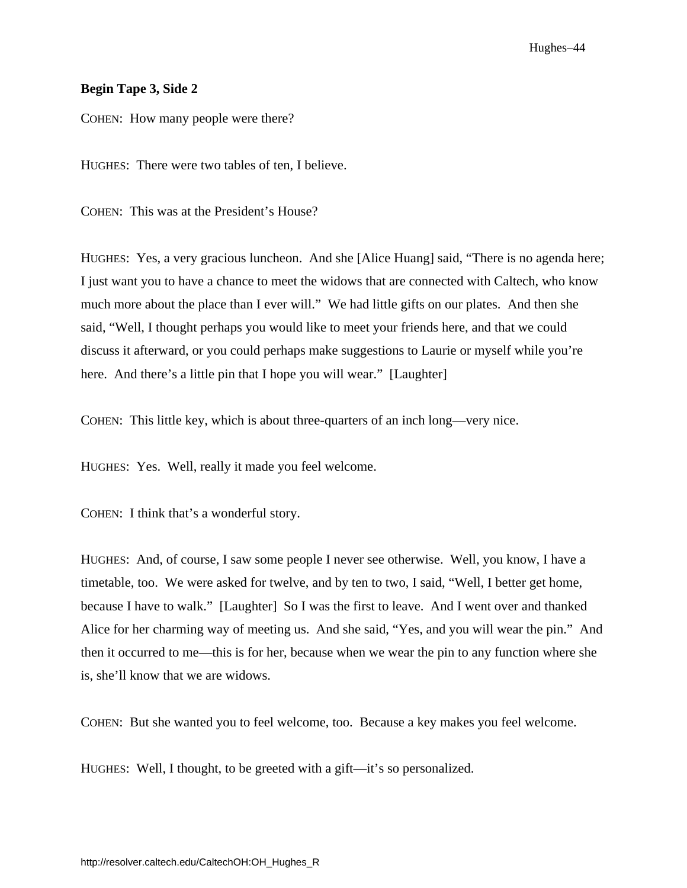#### **Begin Tape 3, Side 2**

COHEN: How many people were there?

HUGHES: There were two tables of ten, I believe.

COHEN: This was at the President's House?

HUGHES: Yes, a very gracious luncheon. And she [Alice Huang] said, "There is no agenda here; I just want you to have a chance to meet the widows that are connected with Caltech, who know much more about the place than I ever will." We had little gifts on our plates. And then she said, "Well, I thought perhaps you would like to meet your friends here, and that we could discuss it afterward, or you could perhaps make suggestions to Laurie or myself while you're here. And there's a little pin that I hope you will wear." [Laughter]

COHEN: This little key, which is about three-quarters of an inch long—very nice.

HUGHES: Yes. Well, really it made you feel welcome.

COHEN: I think that's a wonderful story.

HUGHES: And, of course, I saw some people I never see otherwise. Well, you know, I have a timetable, too. We were asked for twelve, and by ten to two, I said, "Well, I better get home, because I have to walk." [Laughter] So I was the first to leave. And I went over and thanked Alice for her charming way of meeting us. And she said, "Yes, and you will wear the pin." And then it occurred to me—this is for her, because when we wear the pin to any function where she is, she'll know that we are widows.

COHEN: But she wanted you to feel welcome, too. Because a key makes you feel welcome.

HUGHES: Well, I thought, to be greeted with a gift—it's so personalized.